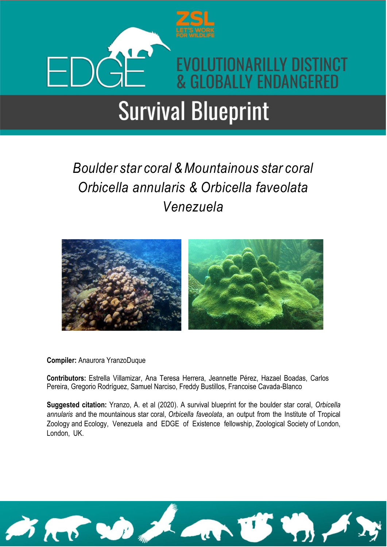

### *Boulder star coral &Mountainous star coral Orbicella annularis & Orbicella faveolata Venezuela*



#### **Compiler:** Anaurora YranzoDuque

**Contributors:** Estrella Villamizar, Ana Teresa Herrera, Jeannette Pérez, Hazael Boadas, Carlos Pereira, Gregorio Rodríguez, Samuel Narciso, Freddy Bustillos, Francoise Cavada-Blanco

**Suggested citation:** Yranzo, A. et al (2020). A survival blueprint for the boulder star coral, *Orbicella annularis* and the mountainous star coral, *Orbicella faveolata*, an output from the Institute of Tropical Zoology and Ecology, Venezuela and EDGE of Existence fellowship, Zoological Society of London, London, UK.

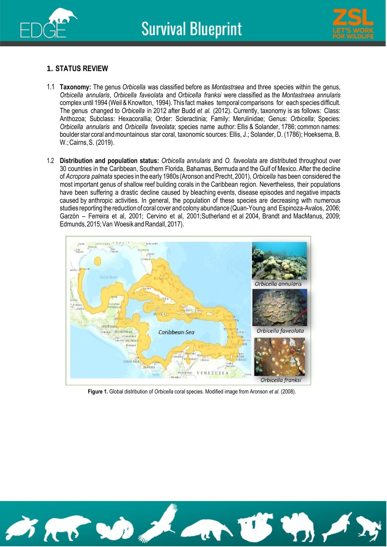



#### **1. STATUS REVIEW**

- 1.1 **Taxonomy:** The genus *Orbicella* was classified before as *Montastraea* and three species within the genus, *Orbicella annularis*, *Orbicella faveolata* and *Orbicella franksi* were classified as the *Montastraea annularis* complex until 1994 (Weil & Knowlton, 1994).This fact makes temporal comparisons for each species difficult. The genus changed to *Orbicella* in 2012 after Budd *et al.* (2012). Currently, taxonomy is as follows: Class: Anthozoa; Subclass: Hexacorallia; Order: Scleractinia; Family: Merulinidae; Genus: *Orbicella*; Species: *Orbicella annularis* and *Orbicella faveolata*; species name author: Ellis & Solander, 1786; common names: boulder star coral andmountainous star coral, taxonomic sources: Ellis, J.; Solander, D. (1786); Hoeksema, B. W.;Cairns,S. (2019).
- 1.2 **Distribution and population status:** *Orbicella annularis* and *O. faveolata* are distributed throughout over 30 countries in the Caribbean, Southern Florida, Bahamas, Bermuda and the Gulf of Mexico. After the decline of *Acropora palmata* species inthe early 1980s (Aronson andPrecht, 2001),*Orbicella* has been considered the most important genus of shallow reef building corals in the Caribbean region. Nevertheless, their populations have been suffering a drastic decline caused by bleaching events, disease episodes and negative impacts caused by anthropic activities. In general, the population of these species are decreasing with numerous studies reporting the reductionof coral cover and colony abundance (Quan-Young and Espinoza-Avalos, 2006; Garzón – Ferreira et al, 2001; Cervino et al, 2001;Sutherland et al 2004, Brandt and MacManus, 2009; Edmunds, 2015; Van Woesik and Randall, 2017).



**Figure 1.** Global distribution of *Orbicella* coral species. Modified image from Aronson *et al.* (2008).

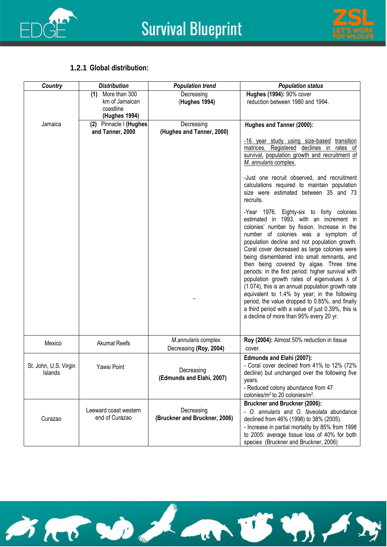



#### **1.2.1 Global distribution:**

| <b>Country</b>                          | <b>Distribution</b>                                                  | <b>Population trend</b>                       | <b>Population status</b>                                                                                                                                                                                                                                                                                                                                                                                                                                                                                                                                                                                                                                                                                                                   |
|-----------------------------------------|----------------------------------------------------------------------|-----------------------------------------------|--------------------------------------------------------------------------------------------------------------------------------------------------------------------------------------------------------------------------------------------------------------------------------------------------------------------------------------------------------------------------------------------------------------------------------------------------------------------------------------------------------------------------------------------------------------------------------------------------------------------------------------------------------------------------------------------------------------------------------------------|
|                                         | More than 300<br>(1)<br>km of Jamaican<br>coastline<br>(Hughes 1994) | Decreasing<br>(Hughes 1994)                   | Hughes (1994): 90% cover<br>reduction between 1980 and 1994.                                                                                                                                                                                                                                                                                                                                                                                                                                                                                                                                                                                                                                                                               |
| Jamaica                                 | (2) Pinnacle I (Hughes                                               | Decreasing                                    | Hughes and Tanner (2000):                                                                                                                                                                                                                                                                                                                                                                                                                                                                                                                                                                                                                                                                                                                  |
|                                         | and Tanner, 2000                                                     | (Hughes and Tanner, 2000)                     |                                                                                                                                                                                                                                                                                                                                                                                                                                                                                                                                                                                                                                                                                                                                            |
|                                         |                                                                      |                                               | -16 year study using size-based transition<br>matrices. Registered declines in rates of<br>survival, population growth and recruitment of<br>M. annularis complex.                                                                                                                                                                                                                                                                                                                                                                                                                                                                                                                                                                         |
|                                         |                                                                      |                                               | -Just one recruit observed, and recruitment<br>calculations required to maintain population<br>size were estimated between 35 and 73<br>recruits.                                                                                                                                                                                                                                                                                                                                                                                                                                                                                                                                                                                          |
|                                         |                                                                      |                                               | -Year 1976. Eighty-six to forty colonies<br>estimated in 1993, with an increment in<br>colonies' number by fission. Increase in the<br>number of colonies was a symptom of<br>population decline and not population growth.<br>Coral cover decreased as large colonies were<br>being dismembered into small remnants, and<br>then being covered by algae. Three time<br>periods: in the first period: higher survival with<br>population growth rates of eigenvalues $\lambda$ of<br>(1.074), this is an annual population growth rate<br>equivalent to 1.4% by year; in the following<br>period, the value dropped to 0.85%, and finally<br>a third period with a value of just 0.39%, this is<br>a decline of more than 95% every 20 yr. |
| Mexico                                  | <b>Akumal Reefs</b>                                                  | M.annularis complex<br>Decreasing (Roy, 2004) | Roy (2004): Almost 50% reduction in tissue<br>cover.                                                                                                                                                                                                                                                                                                                                                                                                                                                                                                                                                                                                                                                                                       |
| St. John, U.S. Virgin<br><b>Islands</b> | Yawsi Point                                                          | Decreasing<br>(Edmunds and Elahi, 2007)       | Edmunds and Elahi (2007):<br>- Coral cover declined from 41% to 12% (72%<br>decline) but unchanged over the following five<br>vears.<br>- Reduced colony abundance from 47<br>colonies/ $m^2$ to 20 colonies/ $m^2$ .                                                                                                                                                                                                                                                                                                                                                                                                                                                                                                                      |
|                                         |                                                                      |                                               | <b>Bruckner and Bruckner (2006):</b>                                                                                                                                                                                                                                                                                                                                                                                                                                                                                                                                                                                                                                                                                                       |
| Curazao                                 | Leeward coast western<br>end of Curazao                              | Decreasing<br>(Bruckner and Bruckner, 2006)   | - O. annularis and O. faveolata abundance<br>declined from 46% (1998) to 38% (2005).                                                                                                                                                                                                                                                                                                                                                                                                                                                                                                                                                                                                                                                       |
|                                         |                                                                      |                                               | - Increase in partial mortality by 85% from 1998<br>to 2005: average tissue loss of 40% for both<br>species (Bruckner and Bruckner, 2006)                                                                                                                                                                                                                                                                                                                                                                                                                                                                                                                                                                                                  |

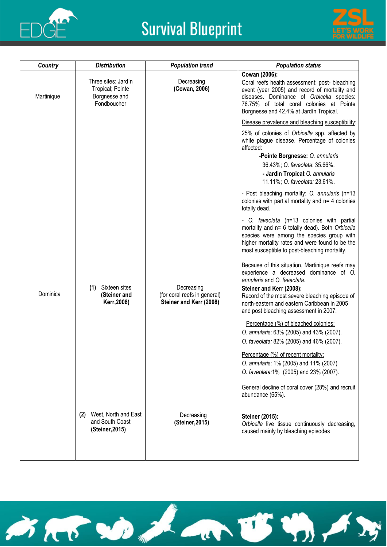



| <b>Distribution</b>                                                     | <b>Population trend</b>                                               | <b>Population status</b>                                                                                                                                                                                                                             |
|-------------------------------------------------------------------------|-----------------------------------------------------------------------|------------------------------------------------------------------------------------------------------------------------------------------------------------------------------------------------------------------------------------------------------|
| Three sites: Jardín<br>Tropical; Pointe<br>Borgnesse and<br>Fondboucher | Decreasing<br>(Cowan, 2006)                                           | Cowan (2006):<br>Coral reefs health assessment: post- bleaching<br>event (year 2005) and record of mortality and<br>diseases. Dominance of Orbicella species:<br>76.75% of total coral colonies at Pointe<br>Borgnesse and 42.4% at Jardín Tropical. |
|                                                                         |                                                                       | Disease prevalence and bleaching susceptibility:                                                                                                                                                                                                     |
|                                                                         |                                                                       | 25% of colonies of Orbicella spp. affected by<br>white plague disease. Percentage of colonies<br>affected:<br>-Pointe Borgnesse: O. annularis                                                                                                        |
|                                                                         |                                                                       | 36.43%; O. faveolata: 35.66%.<br>- Jardin Tropical: O. annularis<br>11.11%; O. faveolata: 23.61%.                                                                                                                                                    |
|                                                                         |                                                                       | - Post bleaching mortality: O. annularis (n=13<br>colonies with partial mortality and n= 4 colonies<br>totally dead.                                                                                                                                 |
|                                                                         |                                                                       | - O. faveolata (n=13 colonies with partial<br>mortality and n= 6 totally dead). Both Orbicella<br>species were among the species group with<br>higher mortality rates and were found to be the<br>most susceptible to post-bleaching mortality.      |
|                                                                         |                                                                       | Because of this situation, Martinique reefs may<br>experience a decreased dominance of O.<br>annularis and O. faveolata.                                                                                                                             |
| Sixteen sites<br>(1)<br>(Steiner and<br>Kerr, 2008)                     | Decreasing<br>(for coral reefs in general)<br>Steiner and Kerr (2008) | Steiner and Kerr (2008):<br>Record of the most severe bleaching episode of<br>north-eastern and eastern Caribbean in 2005<br>and post bleaching assessment in 2007.                                                                                  |
|                                                                         |                                                                       | Percentage (%) of bleached colonies:<br>O. annularis: 63% (2005) and 43% (2007).<br>O. faveolata: 82% (2005) and 46% (2007).                                                                                                                         |
|                                                                         |                                                                       | Percentage (%) of recent mortality:<br>O. annularis: 1% (2005) and 11% (2007)<br>O. faveolata:1% (2005) and 23% (2007).                                                                                                                              |
|                                                                         |                                                                       | General decline of coral cover (28%) and recruit<br>abundance (65%).                                                                                                                                                                                 |
| (2) West, North and East<br>and South Coast<br>(Steiner, 2015)          | Decreasing<br>(Steiner, 2015)                                         | Steiner (2015):<br>Orbicella live tissue continuously decreasing,<br>caused mainly by bleaching episodes                                                                                                                                             |
|                                                                         |                                                                       |                                                                                                                                                                                                                                                      |

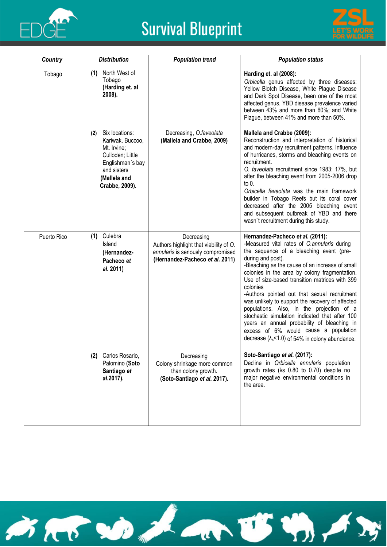



| <b>Country</b> | <b>Distribution</b>                                                                                                                               | <b>Population trend</b>                                                                                                       | <b>Population status</b>                                                                                                                                                                                                                                                                                                                                                                                                                                                                                                                                                                                                                                                |
|----------------|---------------------------------------------------------------------------------------------------------------------------------------------------|-------------------------------------------------------------------------------------------------------------------------------|-------------------------------------------------------------------------------------------------------------------------------------------------------------------------------------------------------------------------------------------------------------------------------------------------------------------------------------------------------------------------------------------------------------------------------------------------------------------------------------------------------------------------------------------------------------------------------------------------------------------------------------------------------------------------|
| Tobago         | North West of<br>(1)<br>Tobago<br>(Harding et. al<br>2008).                                                                                       |                                                                                                                               | Harding et. al (2008):<br>Orbicella genus affected by three diseases:<br>Yellow Blotch Disease, White Plague Disease<br>and Dark Spot Disease, been one of the most<br>affected genus. YBD disease prevalence varied<br>between 43% and more than 60%; and White<br>Plague, between 41% and more than 50%.                                                                                                                                                                                                                                                                                                                                                              |
|                | Six locations:<br>(2)<br>Kariwak, Buccoo,<br>Mt. Irvine;<br>Culloden; Little<br>Englishman's bay<br>and sisters<br>(Mallela and<br>Crabbe, 2009). | Decreasing, O.faveolata<br>(Mallela and Crabbe, 2009)                                                                         | Mallela and Crabbe (2009):<br>Reconstruction and interpretation of historical<br>and modern-day recruitment patterns. Influence<br>of hurricanes, storms and bleaching events on<br>recruitment.<br>O. faveolata recruitment since 1983: 17%, but<br>after the bleaching event from 2005-2006 drop<br>to 0.<br>Orbicella faveolata was the main framework<br>builder in Tobago Reefs but its coral cover<br>decreased after the 2005 bleaching event<br>and subsequent outbreak of YBD and there<br>wasn't recruitment during this study.                                                                                                                               |
| Puerto Rico    | Culebra<br>(1)<br>Island<br>(Hernandez-<br>Pacheco et<br>al. 2011)                                                                                | Decreasing<br>Authors highlight that viability of O.<br>annularis is seriously compromised<br>(Hernandez-Pacheco et al. 2011) | Hernandez-Pacheco et al. (2011):<br>-Measured vital rates of O.annularis during<br>the sequence of a bleaching event (pre-<br>during and post).<br>-Bleaching as the cause of an increase of small<br>colonies in the area by colony fragmentation.<br>Use of size-based transition matrices with 399<br>colonies<br>-Authors pointed out that sexual recruitment<br>was unlikely to support the recovery of affected<br>populations. Also, in the projection of a<br>stochastic simulation indicated that after 100<br>years an annual probability of bleaching in<br>excess of 6% would cause a population<br>decrease $(\lambda_s$ <1.0) of 54% in colony abundance. |
|                | (2) Carlos Rosario,<br>Palomino (Soto<br>Santiago et<br>al.2017).                                                                                 | Decreasing<br>Colony shrinkage more common<br>than colony growth.<br>(Soto-Santiago et al. 2017).                             | Soto-Santiago et al. (2017):<br>Decline in Orbicella annularis population<br>growth rates (As 0.80 to 0.70) despite no<br>major negative environmental conditions in<br>the area.                                                                                                                                                                                                                                                                                                                                                                                                                                                                                       |

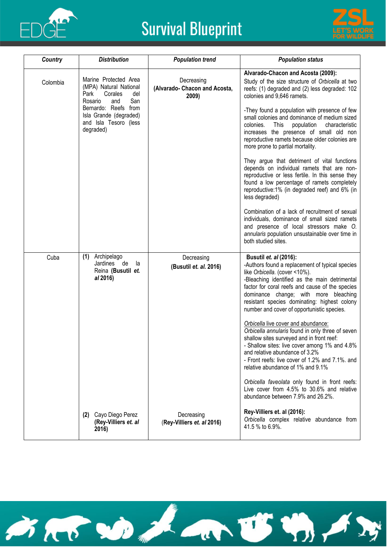



| Country  | <b>Distribution</b>                                                                                                                                                                        | <b>Population trend</b>                              | <b>Population status</b>                                                                                                                                                                                                                                                                                                                                                                                                                                                                                                                                                                                                                                                                                                                                                                                                                                                      |
|----------|--------------------------------------------------------------------------------------------------------------------------------------------------------------------------------------------|------------------------------------------------------|-------------------------------------------------------------------------------------------------------------------------------------------------------------------------------------------------------------------------------------------------------------------------------------------------------------------------------------------------------------------------------------------------------------------------------------------------------------------------------------------------------------------------------------------------------------------------------------------------------------------------------------------------------------------------------------------------------------------------------------------------------------------------------------------------------------------------------------------------------------------------------|
| Colombia | Marine Protected Area<br>(MPA) Natural National<br>Park<br>Corales<br>del<br>San<br>Rosario<br>and<br>Bernardo: Reefs from<br>Isla Grande (degraded)<br>and Isla Tesoro (less<br>degraded) | Decreasing<br>(Alvarado- Chacon and Acosta,<br>2009) | Alvarado-Chacon and Acosta (2009):<br>Study of the size structure of Orbicella at two<br>reefs: (1) degraded and (2) less degraded: 102<br>colonies and 9,646 ramets.<br>-They found a population with presence of few<br>small colonies and dominance of medium sized<br>This<br>population<br>colonies.<br>characteristic<br>increases the presence of small old non<br>reproductive ramets because older colonies are<br>more prone to partial mortality.<br>They argue that detriment of vital functions<br>depends on individual ramets that are non-<br>reproductive or less fertile. In this sense they<br>found a low percentage of ramets completely<br>reproductive:1% (in degraded reef) and 6% (in<br>less degraded)<br>Combination of a lack of recruitment of sexual<br>individuals, dominance of small sized ramets<br>and presence of local stressors make O. |
|          |                                                                                                                                                                                            |                                                      | annularis population unsustainable over time in<br>both studied sites.                                                                                                                                                                                                                                                                                                                                                                                                                                                                                                                                                                                                                                                                                                                                                                                                        |
| Cuba     | Archipelago<br>(1)<br>Jardines<br>de<br>la<br>Reina (Busutil et.<br>al 2016)                                                                                                               | Decreasing<br>(Busutil et. al. 2016)                 | Busutil et. al (2016):<br>-Authors found a replacement of typical species<br>like Orbicella. (cover <10%).<br>-Bleaching identified as the main detrimental<br>factor for coral reefs and cause of the species<br>dominance change; with more bleaching<br>resistant species dominating: highest colony<br>number and cover of opportunistic species.<br>Orbicella live cover and abundance:<br>Orbicella annularis found in only three of seven<br>shallow sites surveyed and in front reef:<br>- Shallow sites: live cover among 1% and 4.8%<br>and relative abundance of 3.2%<br>- Front reefs: live cover of 1.2% and 7.1%. and<br>relative abundance of 1% and 9.1%<br>Orbicella faveolata only found in front reefs:<br>Live cover from 4.5% to 30.6% and relative<br>abundance between 7.9% and 26.2%.                                                                 |
|          | (2) Cayo Diego Perez<br>(Rey-Villiers et. al<br>2016)                                                                                                                                      | Decreasing<br>(Rey-Villiers et. al 2016)             | Rey-Villiers et. al (2016):<br>Orbicella complex relative abundance from<br>41.5 % to 6.9%.                                                                                                                                                                                                                                                                                                                                                                                                                                                                                                                                                                                                                                                                                                                                                                                   |

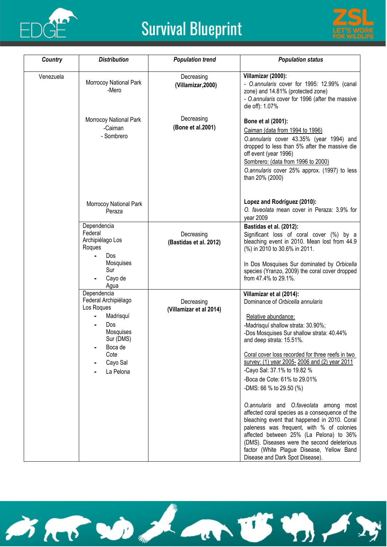



| Country   | <b>Distribution</b>                                                                                                                                | <b>Population trend</b>               | <b>Population status</b>                                                                                                                                                                                                                                                                                                                                                                |
|-----------|----------------------------------------------------------------------------------------------------------------------------------------------------|---------------------------------------|-----------------------------------------------------------------------------------------------------------------------------------------------------------------------------------------------------------------------------------------------------------------------------------------------------------------------------------------------------------------------------------------|
| Venezuela | Morrocoy National Park<br>-Mero                                                                                                                    | Decreasing<br>(Villamizar, 2000)      | Villamizar (2000):<br>- O.annularis cover for 1995: 12.99% (canal<br>zone) and 14.81% (protected zone)<br>- O.annularis cover for 1996 (after the massive<br>die off): 1.07%                                                                                                                                                                                                            |
|           | Morrocoy National Park<br>-Caiman<br>- Sombrero                                                                                                    | Decreasing<br>(Bone et al.2001)       | Bone et al (2001):<br>Caiman (data from 1994 to 1996)<br>O.annularis cover 43.35% (year 1994) and<br>dropped to less than 5% after the massive die<br>off event (year 1996)<br>Sombrero: (data from 1996 to 2000)<br>O.annularis cover 25% approx. (1997) to less<br>than 20% (2000)                                                                                                    |
|           | Morrocoy National Park<br>Peraza                                                                                                                   |                                       | Lopez and Rodríguez (2010):<br>O. faveolata mean cover in Peraza: 3.9% for<br>year 2009                                                                                                                                                                                                                                                                                                 |
|           | Dependencia<br>Federal<br>Archipiélago Los<br>Roques<br><b>Dos</b>                                                                                 | Decreasing<br>(Bastidas et al. 2012)  | Bastidas et al. (2012):<br>Significant loss of coral cover (%) by a<br>bleaching event in 2010. Mean lost from 44.9<br>(%) in 2010 to 30.6% in 2011.                                                                                                                                                                                                                                    |
|           | Mosquises<br>Sur<br>Cayo de<br>Agua                                                                                                                |                                       | In Dos Mosquises Sur dominated by Orbicella<br>species (Yranzo, 2009) the coral cover dropped<br>from 47.4% to 29.1%.                                                                                                                                                                                                                                                                   |
|           | Dependencia<br>Federal Archipiélago<br>Los Roques<br>Madrisquí<br><b>Dos</b><br>Mosquises<br>Sur (DMS)<br>Boca de<br>Cote<br>Cayo Sal<br>La Pelona | Decreasing<br>(Villamizar et al 2014) | Villamizar et al (2014):<br>Dominance of Orbicella annularis<br>Relative abundance:<br>-Madrisquí shallow strata: 30.90%;<br>-Dos Mosquises Sur shallow strata: 40.44%<br>and deep strata: 15.51%.<br>Coral cover loss recorded for three reefs in two<br>survey: (1) year 2005-2006 and (2) year 2011<br>-Cayo Sal: 37.1% to 19.82 %                                                   |
|           |                                                                                                                                                    |                                       | -Boca de Cote: 61% to 29.01%<br>-DMS: 66 % to 29.50 (%)<br>O.annularis and O.faveolata among most<br>affected coral species as a consequence of the<br>bleaching event that happened in 2010. Coral<br>paleness was frequent, with % of colonies<br>affected between 25% (La Pelona) to 36%<br>(DMS). Diseases were the second deleterious<br>factor (White Plague Disease, Yellow Band |

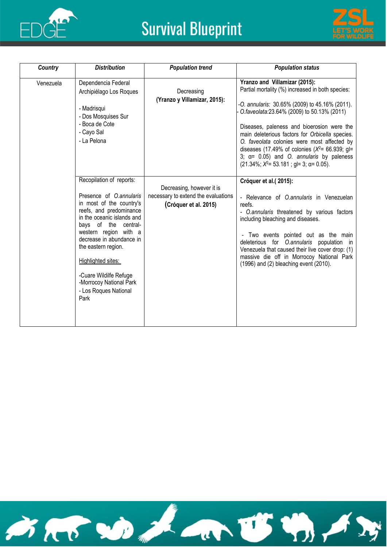



| Country   | <b>Distribution</b>                                                                                                                                                                                                                                                                                                                                      | <b>Population trend</b>                                                                   | <b>Population status</b>                                                                                                                                                                                                                                                                                                                                                                                                                                                                       |
|-----------|----------------------------------------------------------------------------------------------------------------------------------------------------------------------------------------------------------------------------------------------------------------------------------------------------------------------------------------------------------|-------------------------------------------------------------------------------------------|------------------------------------------------------------------------------------------------------------------------------------------------------------------------------------------------------------------------------------------------------------------------------------------------------------------------------------------------------------------------------------------------------------------------------------------------------------------------------------------------|
| Venezuela | Dependencia Federal<br>Archipiélago Los Roques<br>- Madrisqui<br>- Dos Mosquises Sur<br>- Boca de Cote<br>- Cayo Sal<br>- La Pelona                                                                                                                                                                                                                      | Decreasing<br>(Yranzo y Villamizar, 2015):                                                | Yranzo and Villamizar (2015):<br>Partial mortality (%) increased in both species:<br>-O. annularis: 30.65% (2009) to 45.16% (2011).<br>O.faveolata:23.64% (2009) to 50.13% (2011)<br>Diseases, paleness and bioerosion were the<br>main deleterious factors for Orbicella species.<br>O. faveolata colonies were most affected by<br>diseases (17.49% of colonies $(X^2 = 66.939;$ gl=<br>3; $\alpha$ = 0.05) and O. annularis by paleness<br>$(21.34\%; X^2 = 53.181; g = 3; \alpha = 0.05).$ |
|           | Recopilation of reports:<br>Presence of O.annularis<br>in most of the country's<br>reefs, and predominance<br>in the oceanic islands and<br>bays of the central-<br>western region with a<br>decrease in abundance in<br>the eastern region.<br>Highlighted sites:<br>-Cuare Wildilfe Refuge<br>-Morrocoy National Park<br>- Los Roques National<br>Park | Decreasing, however it is<br>necessary to extend the evaluations<br>(Cróquer et al. 2015) | Cróquer et al.(2015):<br>- Relevance of O.annularis in Venezuelan<br>reefs.<br>- O.annularis threatened by various factors<br>including bleaching and diseases.<br>- Two events pointed out as the main<br>deleterious for O.annularis population in<br>Venezuela that caused their live cover drop: (1)<br>massive die off in Morrocoy National Park<br>(1996) and (2) bleaching event (2010).                                                                                                |

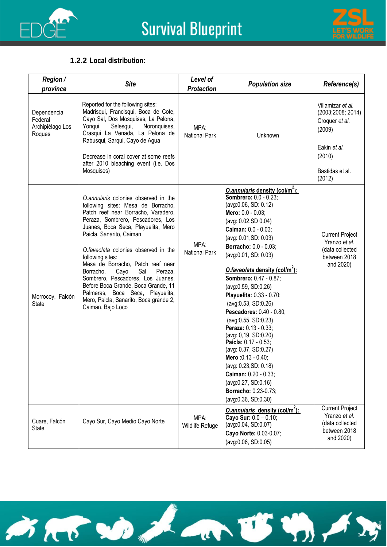



#### **1.2.2 Local distribution:**

| <b>Region /</b><br>province                          | <b>Site</b>                                                                                                                                                                                                                                                                                                                                                                                                                                                                                                                                      | Level of<br><b>Protection</b> | <b>Population size</b>                                                                                                                                                                                                                                                                                                                                                                                                                                                                                                                                                                                                                                                                                                | Reference(s)                                                                                                              |
|------------------------------------------------------|--------------------------------------------------------------------------------------------------------------------------------------------------------------------------------------------------------------------------------------------------------------------------------------------------------------------------------------------------------------------------------------------------------------------------------------------------------------------------------------------------------------------------------------------------|-------------------------------|-----------------------------------------------------------------------------------------------------------------------------------------------------------------------------------------------------------------------------------------------------------------------------------------------------------------------------------------------------------------------------------------------------------------------------------------------------------------------------------------------------------------------------------------------------------------------------------------------------------------------------------------------------------------------------------------------------------------------|---------------------------------------------------------------------------------------------------------------------------|
| Dependencia<br>Federal<br>Archipiélago Los<br>Roques | Reported for the following sites:<br>Madrisqui, Francisqui, Boca de Cote,<br>Cayo Sal, Dos Mosquises, La Pelona,<br>Yonqui,<br>Selesqui,<br>Noronquises,<br>Crasqui La Venada, La Pelona de<br>Rabusqui, Sarqui, Cayo de Agua<br>Decrease in coral cover at some reefs<br>after 2010 bleaching event (i.e. Dos<br>Mosquises)                                                                                                                                                                                                                     | MPA:<br><b>National Park</b>  | Unknown                                                                                                                                                                                                                                                                                                                                                                                                                                                                                                                                                                                                                                                                                                               | Villamizar et al.<br>(2003;2008; 2014)<br>Croquer et al.<br>(2009)<br>Eakin et al.<br>(2010)<br>Bastidas et al.<br>(2012) |
| Morrocoy, Falcón<br><b>State</b>                     | O.annularis colonies observed in the<br>following sites: Mesa de Borracho,<br>Patch reef near Borracho, Varadero,<br>Peraza, Sombrero, Pescadores, Los<br>Juanes, Boca Seca, Playuelita, Mero<br>Paicla, Sanarito, Caiman<br>O.faveolata colonies observed in the<br>following sites:<br>Mesa de Borracho, Patch reef near<br>Sal<br>Borracho,<br>Cayo<br>Peraza,<br>Sombrero, Pescadores, Los Juanes,<br>Before Boca Grande, Boca Grande, 11<br>Palmeras, Boca Seca, Playuelita,<br>Mero, Paicla, Sanarito, Boca grande 2,<br>Caiman, Bajo Loco | MPA:<br><b>National Park</b>  | <b>O.annularis density (col/m<sup>2</sup>):</b><br><b>Sombrero: 0.0 - 0.23;</b><br>(avg:0.06, SD: 0.12)<br>Mero: 0.0 - 0.03;<br>(avg: 0.02, SD 0.04)<br>Caiman: 0.0 - 0.03;<br>(avg: 0.01, SD: 0.03)<br><b>Borracho: 0.0 - 0.03;</b><br>(avg:0.01, SD: 0.03)<br>O.faveolata density (col/m <sup>2</sup> ):<br>Sombrero: 0.47 - 0.87;<br>(avg:0.59, SD:0,26)<br>Playuelita: 0.33 - 0.70;<br>(avg:0.53, SD:0.26)<br><b>Pescadores: 0.40 - 0.80;</b><br>(avg:0.55, SD:0.23)<br>Peraza: 0.13 - 0.33;<br>(avg: 0,19, SD:0.20)<br>Paicla: 0.17 - 0.53;<br>(avg: 0.37, SD:0.27)<br>Mero: 0.13 - 0.40;<br>(avg: 0.23, SD: 0.18)<br>Caiman: 0.20 - 0.33;<br>(avg:0.27, SD:0.16)<br>Borracho: 0.23-0.73;<br>(avg:0.36, SD:0.30) | <b>Current Project</b><br>Yranzo et al.<br>(data collected<br>between 2018<br>and 2020)                                   |
| Cuare, Falcón<br>State                               | Cayo Sur, Cayo Medio Cayo Norte                                                                                                                                                                                                                                                                                                                                                                                                                                                                                                                  | MPA:<br>Wildlife Refuge       | O.annularis density (col/m <sup>2</sup> ):<br>Cayo Sur: $0.0 - 0.10$ ;<br>(avg:0.04, SD:0.07)<br>Cayo Norte: 0.03-0.07;<br>(avg:0.06, SD:0.05)                                                                                                                                                                                                                                                                                                                                                                                                                                                                                                                                                                        | <b>Current Project</b><br>Yranzo et al.<br>(data collected<br>between 2018<br>and 2020)                                   |

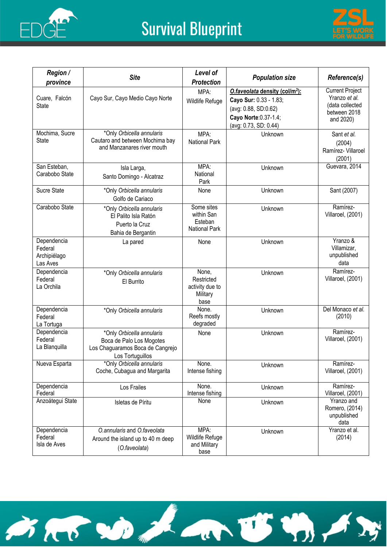



| <b>Region /</b>                                    | <b>Site</b>                                                                                                   | Level of                                                   | <b>Population size</b>                                                                                                                         | Reference(s)                                                                            |
|----------------------------------------------------|---------------------------------------------------------------------------------------------------------------|------------------------------------------------------------|------------------------------------------------------------------------------------------------------------------------------------------------|-----------------------------------------------------------------------------------------|
| province                                           |                                                                                                               | <b>Protection</b>                                          |                                                                                                                                                |                                                                                         |
| Cuare, Falcón<br><b>State</b>                      | Cayo Sur, Cayo Medio Cayo Norte                                                                               | MPA:<br>Wildlife Refuge                                    | O.faveolata density (col/m <sup>2</sup> ):<br>Cayo Sur: 0.33 - 1.83;<br>(avg: 0.88, SD:0.62)<br>Cayo Norte: 0.37-1.4;<br>(avg: 0.73, SD: 0.44) | <b>Current Project</b><br>Yranzo et al.<br>(data collected<br>between 2018<br>and 2020) |
| Mochima, Sucre<br><b>State</b>                     | *Only Orbicella annularis<br>Cautaro and between Mochima bay<br>and Manzanares river mouth                    | MPA:<br><b>National Park</b>                               | Unknown                                                                                                                                        | Sant et al.<br>(2004)<br>Ramírez- Villaroel<br>(2001)                                   |
| San Esteban,<br>Carabobo State                     | Isla Larga,<br>Santo Domingo - Alcatraz                                                                       | MPA:<br>National<br>Park                                   | Unknown                                                                                                                                        | Guevara, 2014                                                                           |
| Sucre State                                        | *Only Orbicella annularis<br>Golfo de Cariaco                                                                 | None                                                       | Unknown                                                                                                                                        | Sant (2007)                                                                             |
| Carabobo State                                     | *Only Orbicella annularis<br>El Palito Isla Ratón<br>Puerto la Cruz<br>Bahia de Bergantin                     | Some sites<br>within San<br>Esteban<br>National Park       | Unknown                                                                                                                                        | Ramírez-<br>Villaroel, (2001)                                                           |
| Dependencia<br>Federal<br>Archipiélago<br>Las Aves | La pared                                                                                                      | None                                                       | Unknown                                                                                                                                        | Yranzo &<br>Villamizar,<br>unpublished<br>data                                          |
| Dependencia<br>Federal<br>La Orchila               | *Only Orbicella annularis<br>El Burrito                                                                       | None,<br>Restricted<br>activity due to<br>Military<br>base | Unknown                                                                                                                                        | Ramírez-<br>Villaroel, (2001)                                                           |
| Dependencia<br>Federal<br>La Tortuga               | *Only Orbicella annularis                                                                                     | None.<br>Reefs mostly<br>degraded                          | Unknown                                                                                                                                        | Del Monaco et al.<br>(2010)                                                             |
| Dependencia<br>Federal<br>La Blanquilla            | *Only Orbicella annularis<br>Boca de Palo Los Mogotes<br>Los Chaguaramos Boca de Cangrejo<br>Los Tortuguillos | None                                                       | Unknown                                                                                                                                        | Ramírez-<br>Villaroel, (2001)                                                           |
| Nueva Esparta                                      | *Only Orbicella annularis<br>Coche, Cubagua and Margarita                                                     | None.<br>Intense fishing                                   | Unknown                                                                                                                                        | Ramírez-<br>Villaroel, (2001)                                                           |
| Dependencia<br>Federal                             | Los Frailes                                                                                                   | None.<br>Intense fishing                                   | Unknown                                                                                                                                        | Ramírez-<br>Villaroel, (2001)                                                           |
| Anzoátegui State                                   | Isletas de Píritu                                                                                             | None                                                       | Unknown                                                                                                                                        | Yranzo and<br>Romero, (2014)<br>unpublished<br>data                                     |
| Dependencia<br>Federal<br>Isla de Aves             | O.annularis and O.faveolata<br>Around the island up to 40 m deep<br>(O.faveolata)                             | MPA:<br>Wildlife Refuge<br>and Military<br>base            | Unknown                                                                                                                                        | Yranzo et al.<br>(2014)                                                                 |

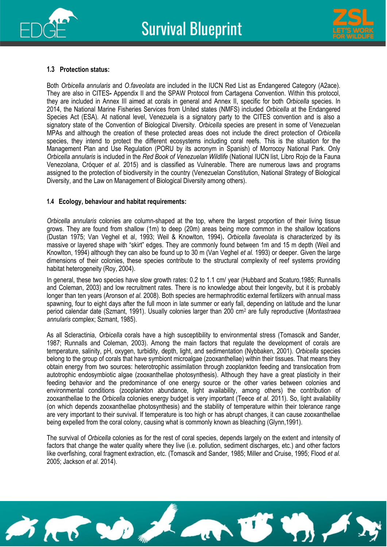



#### **1.3 Protection status:**

Both *Orbicella annularis* and *O.faveolata* are included in the IUCN Red List as Endangered Category (A2ace). They are also in CITES**-** Appendix II and the SPAW Protocol from Cartagena Convention. Within this protocol, they are included in Annex III aimed at corals in general and Annex II, specific for both *Orbicella* species. In 2014, the National Marine Fisheries Services from United states (NMFS) included *Orbicella* at the Endangered Species Act (ESA)*.* At national level, Venezuela is a signatory party to the CITES convention and is also a signatory state of the Convention of Biological Diversity. *Orbicella* species are present in some of Venezuelan MPAs and although the creation of these protected areas does not include the direct protection of *Orbicella*  species, they intend to protect the different ecosystems including coral reefs. This is the situation for the Management Plan and Use Regulation (PORU by its acronym in Spanish) of Morrocoy National Park. Only *Orbicella annularis* is included in the *Red Book of Venezuelan Wildlife* (National IUCN list, Libro Rojo de la Fauna Venezolana, Cróquer *et al.* 2015) and is classified as Vulnerable. There are numerous laws and programs assigned to the protection of biodiversity in the country (Venezuelan Constitution, National Strategy of Biological Diversity, and the Law on Management of Biological Diversity among others).

#### **1.4 Ecology, behaviour and habitat requirements:**

*Orbicella annularis* colonies are column-shaped at the top, where the largest proportion of their living tissue grows. They are found from shallow (1m) to deep (20m) areas being more common in the shallow locations (Dustan 1975; Van Veghel et al, 1993; Weil & Knowlton, 1994)**.** *Orbicella faveolata* is characterized by its massive or layered shape with "skirt" edges. They are commonly found between 1m and 15 m depth (Weil and Knowlton, 1994) although they can also be found up to 30 m (Van Veghel *et al.* 1993) or deeper. Given the large dimensions of their colonies, these species contribute to the structural complexity of reef systems providing habitat heterogeneity (Roy, 2004).

In general, these two species have slow growth rates: 0.2 to 1.1 cm/ year (Hubbard and Scaturo,1985; Runnalls and Coleman, 2003) and low recruitment rates. There is no knowledge about their longevity, but it is probably longer than ten years (Aronson *et al.* 2008). Both species are hermaphroditic external fertilizers with annual mass spawning, four to eight days after the full moon in late summer or early fall, depending on latitude and the lunar period calendar date (Szmant, 1991). Usually colonies larger than 200 cm<sup>2</sup> are fully reproductive (*Montastraea annularis* complex; Szmant, 1985).

As all Scleractinia, *Orbicella* corals have a high susceptibility to environmental stress (Tomascik and Sander, 1987; Runnalls and Coleman, 2003). Among the main factors that regulate the development of corals are temperature, salinity, pH, oxygen, turbidity, depth, light, and sedimentation (Nybbaken, 2001). *Orbicella* species belong to the group of corals that have symbiont microalgae (zooxanthellae) within their tissues. That means they obtain energy from two sources: heterotrophic assimilation through zooplankton feeding and translocation from autotrophic endosymbiotic algae (zooxanthellae photosynthesis). Although they have a great plasticity in their feeding behavior and the predominance of one energy source or the other varies between colonies and environmental conditions (zooplankton abundance, light availability, among others) the contribution of zooxanthellae to the *Orbicella* colonies energy budget is very important (Teece *et al.* 2011). So, light availability (on which depends zooxanthellae photosynthesis) and the stability of temperature within their tolerance range are very important to their survival. If temperature is too high or has abrupt changes, it can cause zooxanthellae being expelled from the coral colony, causing what is commonly known as bleaching (Glynn,1991).

The survival of *Orbicella* colonies as for the rest of coral species, depends largely on the extent and intensity of factors that change the water quality where they live (i.e. pollution, sediment discharges, etc.) and other factors like overfishing, coral fragment extraction, etc. (Tomascik and Sander, 1985; Miller and Cruise, 1995; Flood *et al.*  2005; Jackson *et al.* 2014).

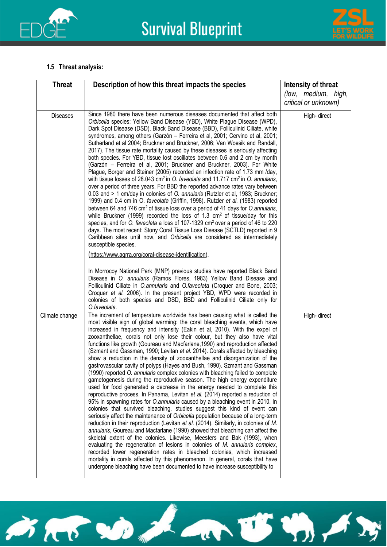



#### **1.5 Threat analysis:**

| <b>Threat</b>   | Description of how this threat impacts the species                                                                                                                                                                                                                                                                                                                                                                                                                                                                                                                                                                                                                                                                                                                                                                                                                                                                                                                                                                                                                                                                                                                                                                                                                                                                                                                                                                                                                                                                                                                                                                                                                                                                                                                                                                                                                                                                                                  | Intensity of threat                  |
|-----------------|-----------------------------------------------------------------------------------------------------------------------------------------------------------------------------------------------------------------------------------------------------------------------------------------------------------------------------------------------------------------------------------------------------------------------------------------------------------------------------------------------------------------------------------------------------------------------------------------------------------------------------------------------------------------------------------------------------------------------------------------------------------------------------------------------------------------------------------------------------------------------------------------------------------------------------------------------------------------------------------------------------------------------------------------------------------------------------------------------------------------------------------------------------------------------------------------------------------------------------------------------------------------------------------------------------------------------------------------------------------------------------------------------------------------------------------------------------------------------------------------------------------------------------------------------------------------------------------------------------------------------------------------------------------------------------------------------------------------------------------------------------------------------------------------------------------------------------------------------------------------------------------------------------------------------------------------------------|--------------------------------------|
|                 |                                                                                                                                                                                                                                                                                                                                                                                                                                                                                                                                                                                                                                                                                                                                                                                                                                                                                                                                                                                                                                                                                                                                                                                                                                                                                                                                                                                                                                                                                                                                                                                                                                                                                                                                                                                                                                                                                                                                                     | (low, medium, high,                  |
| <b>Diseases</b> | Since 1980 there have been numerous diseases documented that affect both<br>Orbicella species: Yellow Band Disease (YBD), White Plague Disease (WPD),<br>Dark Spot Disease (DSD), Black Band Disease (BBD), Folliculinid Ciliate, white<br>syndromes, among others (Garzón - Ferreira et al, 2001; Cervino et al, 2001;<br>Sutherland et al 2004; Bruckner and Bruckner, 2006; Van Woesik and Randall,<br>2017). The tissue rate mortality caused by these diseases is seriously affecting<br>both species. For YBD, tissue lost oscillates between 0.6 and 2 cm by month<br>(Garzón – Ferreira et al, 2001; Bruckner and Bruckner, 2003). For White<br>Plague, Borger and Steiner (2005) recorded an infection rate of 1.73 mm /day,<br>with tissue losses of 28.043 cm <sup>2</sup> in O. faveolata and 11.717 cm <sup>2</sup> in O. annularis,<br>over a period of three years. For BBD the reported advance rates vary between<br>0.03 and > 1 cm/day in colonies of O. annularis (Rutzler et al, 1983; Bruckner;<br>1999) and 0.4 cm in O. faveolata (Griffin, 1998). Rutzler et al. (1983) reported<br>between 64 and 746 cm <sup>2</sup> of tissue loss over a period of 41 days for O.annularis,<br>while Bruckner (1999) recorded the loss of 1.3 $cm2$ of tissue/day for this<br>species, and for O. faveolata a loss of 107-1329 cm <sup>2</sup> over a period of 46 to 220<br>days. The most recent: Stony Coral Tissue Loss Disease (SCTLD) reported in 9<br>Caribbean sites until now, and Orbicella are considered as intermediately<br>susceptible species.<br>(https://www.agrra.org/coral-disease-identification).<br>In Morrocoy National Park (MNP) previous studies have reported Black Band<br>Disease in O. annularis (Ramos Flores, 1983) Yellow Band Disease and<br>Folliculinid Ciliate in O.annularis and O.faveolata (Croquer and Bone, 2003;<br>Croquer et al. 2006). In the present project YBD, WPD were recorded in | critical or unknown)<br>High- direct |
| Climate change  | colonies of both species and DSD, BBD and Folliculinid Ciliate only for<br>O.faveolata.<br>The increment of temperature worldwide has been causing what is called the<br>most visible sign of global warming: the coral bleaching events, which have<br>increased in frequency and intensity (Eakin et al, 2010). With the expel of<br>zooxanthellae, corals not only lose their colour, but they also have vital<br>functions like growth (Goureau and Macfarlane, 1990) and reproduction affected<br>(Szmant and Gassman, 1990; Levitan et al. 2014). Corals affected by bleaching<br>show a reduction in the density of zooxanthellae and disorganization of the<br>gastrovascular cavity of polyps (Hayes and Bush, 1990). Szmant and Gassman<br>(1990) reported O. annularis complex colonies with bleaching failed to complete<br>gametogenesis during the reproductive season. The high energy expenditure<br>used for food generated a decrease in the energy needed to complete this<br>reproductive process. In Panama, Levitan et al. (2014) reported a reduction of<br>95% in spawning rates for O.annularis caused by a bleaching event in 2010. In<br>colonies that survived bleaching, studies suggest this kind of event can<br>seriously affect the maintenance of Orbicella population because of a long-term<br>reduction in their reproduction (Levitan et al. (2014). Similarly, in colonies of M.<br>annularis, Goureau and Macfarlane (1990) showed that bleaching can affect the<br>skeletal extent of the colonies. Likewise, Meesters and Bak (1993), when<br>evaluating the regeneration of lesions in colonies of M. annularis complex,<br>recorded lower regeneration rates in bleached colonies, which increased<br>mortality in corals affected by this phenomenon. In general, corals that have<br>undergone bleaching have been documented to have increase susceptibility to                                      | High- direct                         |

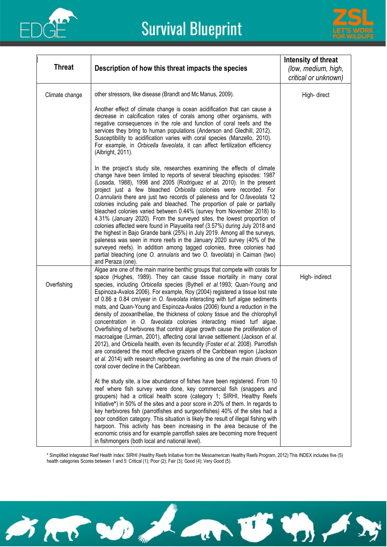



| <b>Threat</b>  | Description of how this threat impacts the species                                                                                                                                                                                                                                                                                                                                                                                                                                                                                                                                                                                                                                                                                                                                                                                                                                                                                                                                                                                                                                                                   | Intensity of threat<br>(low, medium, high,<br>critical or unknown) |
|----------------|----------------------------------------------------------------------------------------------------------------------------------------------------------------------------------------------------------------------------------------------------------------------------------------------------------------------------------------------------------------------------------------------------------------------------------------------------------------------------------------------------------------------------------------------------------------------------------------------------------------------------------------------------------------------------------------------------------------------------------------------------------------------------------------------------------------------------------------------------------------------------------------------------------------------------------------------------------------------------------------------------------------------------------------------------------------------------------------------------------------------|--------------------------------------------------------------------|
| Climate change | other stressors, like disease (Brandt and Mc Manus, 2009).                                                                                                                                                                                                                                                                                                                                                                                                                                                                                                                                                                                                                                                                                                                                                                                                                                                                                                                                                                                                                                                           | High- direct                                                       |
|                | Another effect of climate change is ocean acidification that can cause a<br>decrease in calcification rates of corals among other organisms, with<br>negative consequences in the role and function of coral reefs and the<br>services they bring to human populations (Anderson and Gledhill, 2012).<br>Susceptibility to acidification varies with coral species (Manzello, 2010).<br>For example, in Orbicella faveolata, it can affect fertilization efficiency<br>(Albright, 2011).                                                                                                                                                                                                                                                                                                                                                                                                                                                                                                                                                                                                                             |                                                                    |
|                | In the project's study site, researches examining the effects of climate<br>change have been limited to reports of several bleaching episodes: 1987<br>(Losada, 1988), 1998 and 2005 (Rodriguez et al. 2010). In the present<br>project just a few bleached Orbicella colonies were recorded. For<br>O.annularis there are just two records of paleness and for O.faveolata 12<br>colonies including pale and bleached. The proportion of pale or partially<br>bleached colonies varied between 0.44% (survey from November 2018) to<br>4.31% (January 2020). From the surveyed sites, the lowest proportion of<br>colonies affected were found in Playuelita reef (3.57%) during July 2018 and<br>the highest in Bajo Grande bank (25%) in July 2019. Among all the surveys,<br>paleness was seen in more reefs in the January 2020 survey (40% of the<br>surveyed reefs). In addition among tagged colonies, three colonies had<br>partial bleaching (one O. annularis and two O. faveolata) in Caiman (two)<br>and Peraza (one).                                                                                  |                                                                    |
| Overfishing    | Algae are one of the main marine benthic groups that compete with corals for<br>space (Hughes, 1989). They can cause tissue mortality in many coral<br>species, including Orbicella species (Bythell et al.1993; Quan-Young and<br>Espinoza-Avalos 2006). For example, Roy (2004) registered a tissue lost rate<br>of $0.86 \pm 0.84$ cm/year in O. faveolata interacting with turf algae sediments<br>mats, and Quan-Young and Espinoza-Avalos (2006) found a reduction in the<br>density of zooxanthellae, the thickness of colony tissue and the chlorophyll<br>concentration in O. faveolata colonies interacting mixed turf algae.<br>Overfishing of herbivores that control algae growth cause the proliferation of<br>macroalgae (Lirman, 2001), affecting coral larvae settlement (Jackson et al.<br>2012), and <i>Orbicella</i> health, even its fecundity (Foster <i>et al.</i> 2008). Parrotfish<br>are considered the most effective grazers of the Caribbean region (Jackson<br>et al. 2014) with research reporting overfishing as one of the main drivers of<br>coral cover decline in the Caribbean. | High- indirect                                                     |
|                | At the study site, a low abundance of fishes have been registered. From 10<br>reef where fish survey were done, key commercial fish (snappers and<br>groupers) had a critical health score (category 1; SIRHI, Healthy Reefs<br>Initiative*) in 50% of the sites and a poor score in 20% of them. In regards to<br>key herbivores fish (parrotfishes and surgeonfishes) 40% of the sites had a<br>poor condition category. This situation is likely the result of illegal fishing with<br>harpoon. This activity has been increasing in the area because of the<br>economic crisis and for example parrotfish sales are becoming more frequent<br>in fishmongers (both local and national level).                                                                                                                                                                                                                                                                                                                                                                                                                    |                                                                    |

\* Simplified Integrated Reef Health Index: SIRHI (Healthy Reefs Initiative from the Mesoamerican Healthy Reefs Program, 2012) This INDEX includes five (5) health categories Scores between 1 and 5: Critical (1); Poor (2); Fair (3); Good (4); Very Good (5).

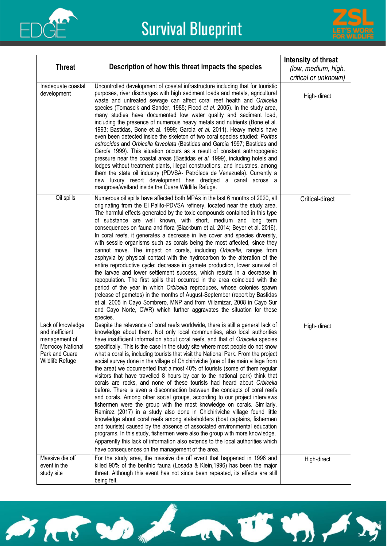



| <b>Threat</b>                                                                                                   | Description of how this threat impacts the species                                                                                                                                                                                                                                                                                                                                                                                                                                                                                                                                                                                                                                                                                                                                                                                                                                                                                                                                                                                                                                                                                                                                                                                                                                                                                                                                                                                                 | Intensity of threat<br>(low, medium, high,<br>critical or unknown) |
|-----------------------------------------------------------------------------------------------------------------|----------------------------------------------------------------------------------------------------------------------------------------------------------------------------------------------------------------------------------------------------------------------------------------------------------------------------------------------------------------------------------------------------------------------------------------------------------------------------------------------------------------------------------------------------------------------------------------------------------------------------------------------------------------------------------------------------------------------------------------------------------------------------------------------------------------------------------------------------------------------------------------------------------------------------------------------------------------------------------------------------------------------------------------------------------------------------------------------------------------------------------------------------------------------------------------------------------------------------------------------------------------------------------------------------------------------------------------------------------------------------------------------------------------------------------------------------|--------------------------------------------------------------------|
| Inadequate coastal<br>development                                                                               | Uncontrolled development of coastal infrastructure including that for touristic<br>purposes, river discharges with high sediment loads and metals, agricultural<br>waste and untreated sewage can affect coral reef health and Orbicella<br>species (Tomascik and Sander, 1985; Flood et al. 2005). In the study area,<br>many studies have documented low water quality and sediment load,<br>including the presence of numerous heavy metals and nutrients (Bone et al.<br>1993; Bastidas, Bone et al. 1999; García et al. 2011). Heavy metals have<br>even been detected inside the skeleton of two coral species studied: Porites<br>astreoides and Orbicella faveolata (Bastidas and García 1997; Bastidas and<br>García 1999). This situation occurs as a result of constant anthropogenic<br>pressure near the coastal areas (Bastidas et al. 1999), including hotels and<br>lodges without treatment plants, illegal constructions, and industries, among<br>them the state oil industry (PDVSA- Petróleos de Venezuela). Currently a<br>new luxury resort development has dredged a canal across a<br>mangrove/wetland inside the Cuare Wildlife Refuge.                                                                                                                                                                                                                                                                                  | High- direct                                                       |
| Oil spills                                                                                                      | Numerous oil spills have affected both MPAs in the last 6 months of 2020, all<br>originating from the El Palito-PDVSA refinery, located near the study area.<br>The harmful effects generated by the toxic compounds contained in this type<br>of substance are well known, with short, medium and long term<br>consequences on fauna and flora (Blackburn et al. 2014; Beyer et al. 2016).<br>In coral reefs, it generates a decrease in live cover and species diversity,<br>with sessile organisms such as corals being the most affected, since they<br>cannot move. The impact on corals, including Orbicella, ranges from<br>asphyxia by physical contact with the hydrocarbon to the alteration of the<br>entire reproductive cycle: decrease in gamete production, lower survival of<br>the larvae and lower settlement success, which results in a decrease in<br>repopulation. The first spills that occurred in the area coincided with the<br>period of the year in which Orbicella reproduces, whose colonies spawn<br>(release of gametes) in the months of August-September (report by Bastidas<br>et al. 2005 in Cayo Sombrero, MNP and from Villamizar, 2008 in Cayo Sur<br>and Cayo Norte, CWR) which further aggravates the situation for these<br>species.                                                                                                                                                                     | Critical-direct                                                    |
| Lack of knowledge<br>and inefficient<br>management of<br>Morrocoy National<br>Park and Cuare<br>Wildlife Refuge | Despite the relevance of coral reefs worldwide, there is still a general lack of<br>knowledge about them. Not only local communities, also local authorities<br>have insufficient information about coral reefs, and that of Orbicella species<br>specifically. This is the case in the study site where most people do not know<br>what a coral is, including tourists that visit the National Park. From the project<br>social survey done in the village of Chichiriviche (one of the main village from<br>the area) we documented that almost 40% of tourists (some of them regular<br>visitors that have travelled 8 hours by car to the national park) think that<br>corals are rocks, and none of these tourists had heard about Orbicella<br>before. There is even a disconnection between the concepts of coral reefs<br>and corals. Among other social groups, according to our project interviews<br>fishermen were the group with the most knowledge on corals. Similarly,<br>Ramirez (2017) in a study also done in Chichiriviche village found little<br>knowledge about coral reefs among stakeholders (boat captains, fishermen<br>and tourists) caused by the absence of associated environmental education<br>programs. In this study, fishermen were also the group with more knowledge.<br>Apparently this lack of information also extends to the local authorities which<br>have consequences on the management of the area. | High- direct                                                       |
| Massive die off<br>event in the<br>study site                                                                   | For the study area, the massive die off event that happened in 1996 and<br>killed 90% of the benthic fauna (Losada & Klein, 1996) has been the major<br>threat. Although this event has not since been repeated, its effects are still<br>being felt.                                                                                                                                                                                                                                                                                                                                                                                                                                                                                                                                                                                                                                                                                                                                                                                                                                                                                                                                                                                                                                                                                                                                                                                              | High-direct                                                        |

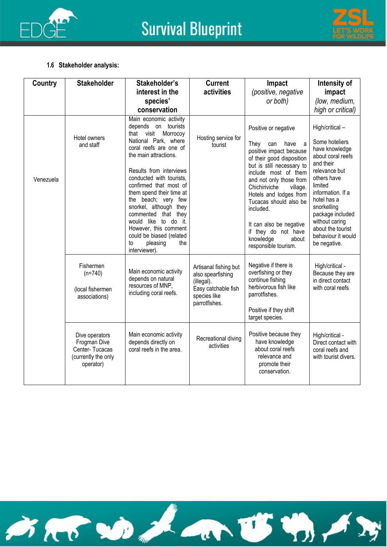



#### **1.6 Stakeholder analysis:**

| Country   | <b>Stakeholder</b>                                                                   | Stakeholder's                                                                                                                                                                                                                                                                                                                                                                                                                                                  | <b>Current</b>                                                                                                   | Impact                                                                                                                                                                                                                                                                                                                                                                                 | Intensity of                                                                                                                                                                                                                                                                        |
|-----------|--------------------------------------------------------------------------------------|----------------------------------------------------------------------------------------------------------------------------------------------------------------------------------------------------------------------------------------------------------------------------------------------------------------------------------------------------------------------------------------------------------------------------------------------------------------|------------------------------------------------------------------------------------------------------------------|----------------------------------------------------------------------------------------------------------------------------------------------------------------------------------------------------------------------------------------------------------------------------------------------------------------------------------------------------------------------------------------|-------------------------------------------------------------------------------------------------------------------------------------------------------------------------------------------------------------------------------------------------------------------------------------|
|           |                                                                                      | interest in the                                                                                                                                                                                                                                                                                                                                                                                                                                                | activities                                                                                                       | (positive, negative                                                                                                                                                                                                                                                                                                                                                                    | impact                                                                                                                                                                                                                                                                              |
|           |                                                                                      | species'                                                                                                                                                                                                                                                                                                                                                                                                                                                       |                                                                                                                  | or both)                                                                                                                                                                                                                                                                                                                                                                               | (low, medium,                                                                                                                                                                                                                                                                       |
|           |                                                                                      | conservation                                                                                                                                                                                                                                                                                                                                                                                                                                                   |                                                                                                                  |                                                                                                                                                                                                                                                                                                                                                                                        | high or critical)                                                                                                                                                                                                                                                                   |
| Venezuela | Hotel owners<br>and staff                                                            | Main economic activity<br>depends on tourists<br>that visit<br>Morrocoy<br>National Park, where<br>coral reefs are one of<br>the main attractions.<br>Results from interviews<br>conducted with tourists,<br>confirmed that most of<br>them spend their time at<br>the beach; very few<br>snorkel, although they<br>commented that they<br>would like to do it.<br>However, this comment<br>could be biased (related<br>pleasing<br>the<br>to<br>interviewer). | Hosting service for<br>tourist                                                                                   | Positive or negative<br>They<br>can<br>have<br>a<br>positive impact because<br>of their good disposition<br>but is still necessary to<br>include most of them<br>and not only those from<br>Chichiriviche<br>village.<br>Hotels and lodges from<br>Tucacas should also be<br>included.<br>It can also be negative<br>if they do not have<br>knowledge<br>about<br>responsible tourism. | High/critical-<br>Some hoteliers<br>have knowledge<br>about coral reefs<br>and their<br>relevance but<br>others have<br>limited<br>information. If a<br>hotel has a<br>snorkelling<br>package included<br>without caring<br>about the tourist<br>behaviour it would<br>be negative. |
|           | Fishermen<br>$(n=740)$<br>(local fishermen<br>associations)                          | Main economic activity<br>depends on natural<br>resources of MNP,<br>including coral reefs.                                                                                                                                                                                                                                                                                                                                                                    | Artisanal fishing but<br>also spearfishing<br>(illegal).<br>Easy catchable fish<br>species like<br>parrotfishes. | Negative if there is<br>overfishing or they<br>continue fishing<br>herbivorous fish like<br>parrotfishes.<br>Positive if they shift<br>target species.                                                                                                                                                                                                                                 | High/critical -<br>Because they are<br>in direct contact<br>with coral reefs                                                                                                                                                                                                        |
|           | Dive operators<br>Frogman Dive<br>Center-Tucacas<br>(currently the only<br>operator) | Main economic activity<br>depends directly on<br>coral reefs in the area.                                                                                                                                                                                                                                                                                                                                                                                      | Recreational diving<br>activities                                                                                | Positive because they<br>have knowledge<br>about coral reefs<br>relevance and<br>promote their<br>conservation.                                                                                                                                                                                                                                                                        | High/critical -<br>Direct contact with<br>coral reefs and<br>with tourist divers.                                                                                                                                                                                                   |

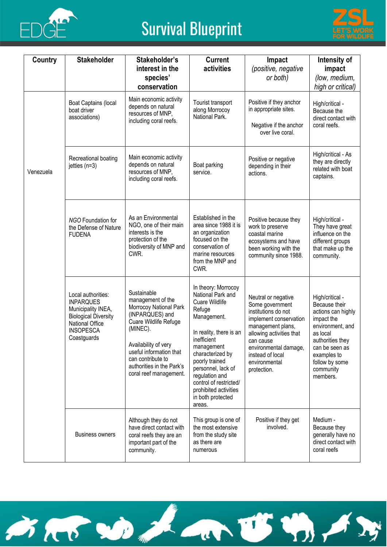



| Country   | <b>Stakeholder</b>                                                                                                                                | Stakeholder's<br>interest in the<br>species'<br>conservation                                                                                                                                                                                      | <b>Current</b><br>activities                                                                                                                                                                                                                                                                                       | Impact<br>(positive, negative<br>or both)                                                                                                                                                                                          | Intensity of<br>impact<br>(low, medium,<br>high or critical)                                                                                                                                         |
|-----------|---------------------------------------------------------------------------------------------------------------------------------------------------|---------------------------------------------------------------------------------------------------------------------------------------------------------------------------------------------------------------------------------------------------|--------------------------------------------------------------------------------------------------------------------------------------------------------------------------------------------------------------------------------------------------------------------------------------------------------------------|------------------------------------------------------------------------------------------------------------------------------------------------------------------------------------------------------------------------------------|------------------------------------------------------------------------------------------------------------------------------------------------------------------------------------------------------|
|           | Boat Captains (local<br>boat driver<br>associations)                                                                                              | Main economic activity<br>depends on natural<br>resources of MNP,<br>including coral reefs.                                                                                                                                                       | Tourist transport<br>along Morrocoy<br>National Park.                                                                                                                                                                                                                                                              | Positive if they anchor<br>in appropriate sites.<br>Negative if the anchor<br>over live coral.                                                                                                                                     | High/critical -<br>Because the<br>direct contact with<br>coral reefs.                                                                                                                                |
| Venezuela | Recreational boating<br>jetties $(n=3)$                                                                                                           | Main economic activity<br>depends on natural<br>resources of MNP,<br>including coral reefs.                                                                                                                                                       | Boat parking<br>service.                                                                                                                                                                                                                                                                                           | Positive or negative<br>depending in their<br>actions.                                                                                                                                                                             | High/critical - As<br>they are directly<br>related with boat<br>captains.                                                                                                                            |
|           | <b>NGO Foundation for</b><br>the Defense of Nature<br><b>FUDENA</b>                                                                               | As an Environmental<br>NGO, one of their main<br>interests is the<br>protection of the<br>biodiversity of MNP and<br>CWR.                                                                                                                         | Established in the<br>area since 1988 it is<br>an organization<br>focused on the<br>conservation of<br>marine resources<br>from the MNP and<br>CWR.                                                                                                                                                                | Positive because they<br>work to preserve<br>coastal marine<br>ecosystems and have<br>been working with the<br>community since 1988.                                                                                               | High/critical -<br>They have great<br>influence on the<br>different groups<br>that make up the<br>community.                                                                                         |
|           | Local authorities:<br><b>INPARQUES</b><br>Municipality INEA,<br><b>Biological Diversity</b><br>National Office<br><b>INSOPESCA</b><br>Coastguards | Sustainable<br>management of the<br>Morrocoy National Park<br>(INPARQUES) and<br>Cuare Wildlife Refuge<br>(MINEC).<br>Availability of very<br>useful information that<br>can contribute to<br>authorities in the Park's<br>coral reef management. | In theory: Morrocoy<br>National Park and<br><b>Cuare Wildlife</b><br>Refuge<br>Management.<br>In reality, there is an<br>inefficient<br>management<br>characterized by<br>poorly trained<br>personnel, lack of<br>regulation and<br>control of restricted/<br>prohibited activities<br>in both protected<br>areas. | Neutral or negative<br>Some government<br>institutions do not<br>implement conservation<br>management plans,<br>allowing activities that<br>can cause<br>environmental damage,<br>instead of local<br>environmental<br>protection. | High/critical -<br>Because their<br>actions can highly<br>impact the<br>environment, and<br>as local<br>authorities they<br>can be seen as<br>examples to<br>follow by some<br>community<br>members. |
|           | <b>Business owners</b>                                                                                                                            | Although they do not<br>have direct contact with<br>coral reefs they are an<br>important part of the<br>community.                                                                                                                                | This group is one of<br>the most extensive<br>from the study site<br>as there are<br>numerous                                                                                                                                                                                                                      | Positive if they get<br>involved.                                                                                                                                                                                                  | Medium -<br>Because they<br>generally have no<br>direct contact with<br>coral reefs                                                                                                                  |

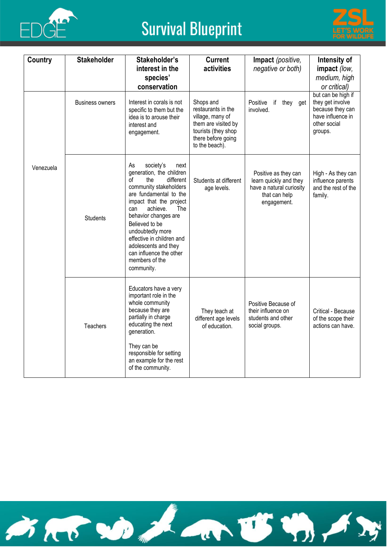



| Country   | <b>Stakeholder</b>                                                                                                                                                                                                                                                                                                                                                                      | Stakeholder's<br>interest in the<br>species'<br>conservation                                                                                                                                                                                | <b>Current</b><br>activities                                                                                                              | Impact (positive,<br>negative or both)                                                                                                                                                  | Intensity of<br>impact (low,<br>medium, high<br>or critical)                                               |
|-----------|-----------------------------------------------------------------------------------------------------------------------------------------------------------------------------------------------------------------------------------------------------------------------------------------------------------------------------------------------------------------------------------------|---------------------------------------------------------------------------------------------------------------------------------------------------------------------------------------------------------------------------------------------|-------------------------------------------------------------------------------------------------------------------------------------------|-----------------------------------------------------------------------------------------------------------------------------------------------------------------------------------------|------------------------------------------------------------------------------------------------------------|
|           | <b>Business owners</b>                                                                                                                                                                                                                                                                                                                                                                  | Interest in corals is not<br>specific to them but the<br>idea is to arouse their<br>interest and<br>engagement.                                                                                                                             | Shops and<br>restaurants in the<br>village, many of<br>them are visited by<br>tourists (they shop<br>there before going<br>to the beach). | Positive if they get<br>involved.                                                                                                                                                       | but can be high if<br>they get involve<br>because they can<br>have influence in<br>other social<br>groups. |
| Venezuela | society's<br>As<br>next<br>generation, the children<br>different<br>οf<br>the<br>community stakeholders<br>are fundamental to the<br>impact that the project<br>The<br>achieve.<br>can<br>behavior changes are<br><b>Students</b><br>Believed to be<br>undoubtedly more<br>effective in children and<br>adolescents and they<br>can influence the other<br>members of the<br>community. |                                                                                                                                                                                                                                             | Students at different<br>age levels.                                                                                                      | Positive as they can<br>High - As they can<br>learn quickly and they<br>influence parents<br>have a natural curiosity<br>and the rest of the<br>that can help<br>family.<br>engagement. |                                                                                                            |
|           | <b>Teachers</b>                                                                                                                                                                                                                                                                                                                                                                         | Educators have a very<br>important role in the<br>whole community<br>because they are<br>partially in charge<br>educating the next<br>generation.<br>They can be<br>responsible for setting<br>an example for the rest<br>of the community. | They teach at<br>different age levels<br>of education.                                                                                    | Positive Because of<br>their influence on<br>students and other<br>social groups.                                                                                                       | Critical - Because<br>of the scope their<br>actions can have.                                              |

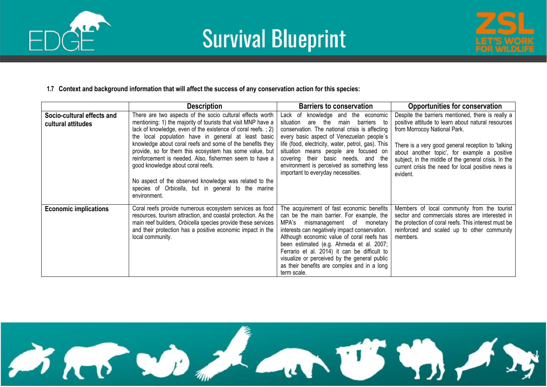



#### **1.7 Context and background information that will affect the success of any conservation action for this species:**

|                                                  | <b>Description</b>                                                                                                                                                                                                                                                                                                                                                                                                                                                                                                                                                                                        | <b>Barriers to conservation</b>                                                                                                                                                                                                                                                                                                                                                                                                       | <b>Opportunities for conservation</b>                                                                                                                                                                                                                                                                                                                                   |
|--------------------------------------------------|-----------------------------------------------------------------------------------------------------------------------------------------------------------------------------------------------------------------------------------------------------------------------------------------------------------------------------------------------------------------------------------------------------------------------------------------------------------------------------------------------------------------------------------------------------------------------------------------------------------|---------------------------------------------------------------------------------------------------------------------------------------------------------------------------------------------------------------------------------------------------------------------------------------------------------------------------------------------------------------------------------------------------------------------------------------|-------------------------------------------------------------------------------------------------------------------------------------------------------------------------------------------------------------------------------------------------------------------------------------------------------------------------------------------------------------------------|
| Socio-cultural effects and<br>cultural attitudes | There are two aspects of the socio cultural effects worth<br>mentioning: 1) the majority of tourists that visit MNP have a<br>lack of knowledge, even of the existence of coral reefs.; 2)<br>the local population have in general at least basic<br>knowledge about coral reefs and some of the benefits they<br>provide, so for them this ecosystem has some value, but<br>reinforcement is needed. Also, fishermen seem to have a<br>good knowledge about coral reefs.<br>No aspect of the observed knowledge was related to the<br>species of Orbicella, but in general to the marine<br>environment. | Lack of knowledge and the economic<br>situation<br>main<br>barriers<br>are<br>the<br>to<br>conservation. The national crisis is affecting<br>every basic aspect of Venezuelan people's<br>life (food, electricity, water, petrol, gas). This<br>situation means people are focused on<br>covering their basic needs, and the<br>environment is perceived as something less<br>important to everyday necessities.                      | Despite the barriers mentioned, there is really a<br>positive attitude to learn about natural resources<br>from Morrocoy National Park.<br>There is a very good general reception to 'talking<br>about another topic', for example a positive<br>subject, in the middle of the general crisis. In the<br>current crisis the need for local positive news is<br>evident. |
| <b>Economic implications</b>                     | Coral reefs provide numerous ecosystem services as food<br>resources, tourism attraction, and coastal protection. As the<br>main reef builders, Orbicella species provide these services<br>and their protection has a positive economic impact in the<br>local community.                                                                                                                                                                                                                                                                                                                                | The acquirement of fast economic benefits<br>can be the main barrier. For example, the<br>MPA's<br>mismanagement of monetary<br>interests can negatively impact conservation.<br>Although economic value of coral reefs has<br>been estimated (e.g. Ahmeda et al. 2007;<br>Ferrario et al. 2014) it can be difficult to<br>visualize or perceived by the general public<br>as their benefits are complex and in a long<br>term scale. | Members of local community from the tourist<br>sector and commercials stores are interested in<br>the protection of coral reefs. This interest must be<br>reinforced and scaled up to other community<br>members.                                                                                                                                                       |

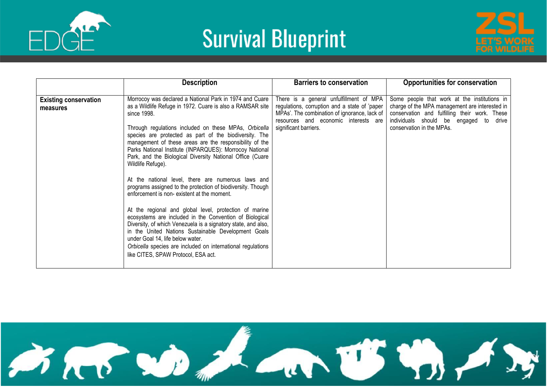





|                                          | <b>Description</b>                                                                                                                                                                                                                                                                                                                                                                                                                                                                                                                                                                                                                                                                                                                                                                                                                                                                                                                                                                                                       | <b>Barriers to conservation</b>                                                                                                                                                                           | <b>Opportunities for conservation</b>                                                                                                                                                                                     |
|------------------------------------------|--------------------------------------------------------------------------------------------------------------------------------------------------------------------------------------------------------------------------------------------------------------------------------------------------------------------------------------------------------------------------------------------------------------------------------------------------------------------------------------------------------------------------------------------------------------------------------------------------------------------------------------------------------------------------------------------------------------------------------------------------------------------------------------------------------------------------------------------------------------------------------------------------------------------------------------------------------------------------------------------------------------------------|-----------------------------------------------------------------------------------------------------------------------------------------------------------------------------------------------------------|---------------------------------------------------------------------------------------------------------------------------------------------------------------------------------------------------------------------------|
| <b>Existing conservation</b><br>measures | Morrocoy was declared a National Park in 1974 and Cuare<br>as a Wildlife Refuge in 1972. Cuare is also a RAMSAR site<br>since 1998.<br>Through regulations included on these MPAs, Orbicella<br>species are protected as part of the biodiversity. The<br>management of these areas are the responsibility of the<br>Parks National Institute (INPARQUES): Morrocoy National<br>Park, and the Biological Diversity National Office (Cuare<br>Wildlife Refuge).<br>At the national level, there are numerous laws and<br>programs assigned to the protection of biodiversity. Though<br>enforcement is non-existent at the moment.<br>At the regional and global level, protection of marine<br>ecosystems are included in the Convention of Biological<br>Diversity, of which Venezuela is a signatory state, and also,<br>in the United Nations Sustainable Development Goals<br>under Goal 14, life below water.<br>Orbicella species are included on international regulations<br>like CITES, SPAW Protocol, ESA act. | There is a general unfulfillment of MPA<br>regulations, corruption and a state of 'paper<br>MPAs'. The combination of ignorance, lack of<br>resources and economic interests are<br>significant barriers. | Some people that work at the institutions in<br>charge of the MPA management are interested in<br>conservation and fulfilling their work. These<br>individuals should be engaged to<br>drive<br>conservation in the MPAs. |

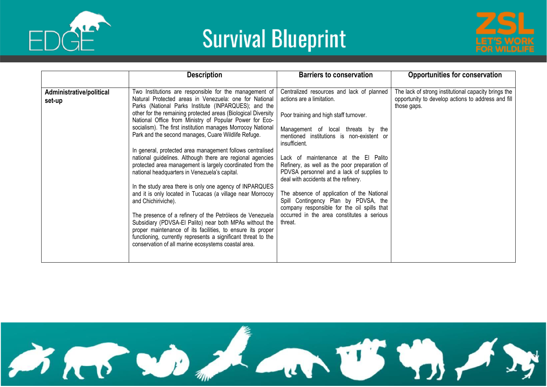



|                                    | <b>Description</b>                                                                                                                                                                                                                                                                                                                                                                                                                                                                                                                                                                                                                                                                                                                                                                                                                                                                                                                                                                                                                                                                                                              | <b>Barriers to conservation</b>                                                                                                                                                                                                                                                                                                                                                                                                                                                                                                                                                                 | <b>Opportunities for conservation</b>                                                                                     |
|------------------------------------|---------------------------------------------------------------------------------------------------------------------------------------------------------------------------------------------------------------------------------------------------------------------------------------------------------------------------------------------------------------------------------------------------------------------------------------------------------------------------------------------------------------------------------------------------------------------------------------------------------------------------------------------------------------------------------------------------------------------------------------------------------------------------------------------------------------------------------------------------------------------------------------------------------------------------------------------------------------------------------------------------------------------------------------------------------------------------------------------------------------------------------|-------------------------------------------------------------------------------------------------------------------------------------------------------------------------------------------------------------------------------------------------------------------------------------------------------------------------------------------------------------------------------------------------------------------------------------------------------------------------------------------------------------------------------------------------------------------------------------------------|---------------------------------------------------------------------------------------------------------------------------|
| Administrative/political<br>set-up | Two Institutions are responsible for the management of<br>Natural Protected areas in Venezuela: one for National<br>Parks (National Parks Institute (INPARQUES); and the<br>other for the remaining protected areas (Biological Diversity<br>National Office from Ministry of Popular Power for Eco-<br>socialism). The first institution manages Morrocoy National<br>Park and the second manages, Cuare Wildlife Refuge.<br>In general, protected area management follows centralised<br>national guidelines. Although there are regional agencies<br>protected area management is largely coordinated from the<br>national headquarters in Venezuela's capital.<br>In the study area there is only one agency of INPARQUES<br>and it is only located in Tucacas (a village near Morrocoy<br>and Chichiriviche).<br>The presence of a refinery of the Petróleos de Venezuela<br>Subsidiary (PDVSA-El Palito) near both MPAs without the<br>proper maintenance of its facilities, to ensure its proper<br>functioning, currently represents a significant threat to the<br>conservation of all marine ecosystems coastal area. | Centralized resources and lack of planned<br>actions are a limitation.<br>Poor training and high staff turnover.<br>Management of local threats by the<br>mentioned institutions is non-existent or<br>insufficient.<br>Lack of maintenance at the El Palito<br>Refinery, as well as the poor preparation of<br>PDVSA personnel and a lack of supplies to<br>deal with accidents at the refinery.<br>The absence of application of the National<br>Spill Contingency Plan by PDVSA, the<br>company responsible for the oil spills that<br>occurred in the area constitutes a serious<br>threat. | The lack of strong institutional capacity brings the<br>opportunity to develop actions to address and fill<br>those gaps. |

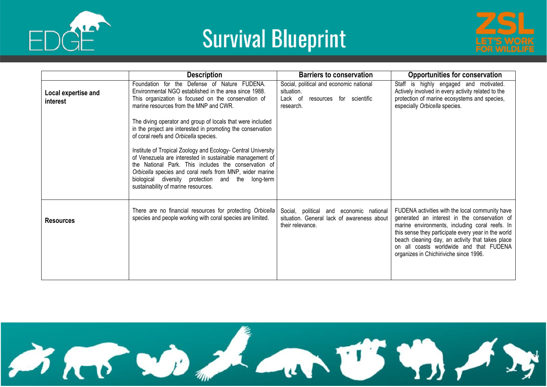





|                                 | <b>Description</b>                                                                                                                                                                                                                                                                                                                                                                                                                                                                                              | <b>Barriers to conservation</b>                                                                           | <b>Opportunities for conservation</b>                                                                                                                                                                                                                                                                                                             |
|---------------------------------|-----------------------------------------------------------------------------------------------------------------------------------------------------------------------------------------------------------------------------------------------------------------------------------------------------------------------------------------------------------------------------------------------------------------------------------------------------------------------------------------------------------------|-----------------------------------------------------------------------------------------------------------|---------------------------------------------------------------------------------------------------------------------------------------------------------------------------------------------------------------------------------------------------------------------------------------------------------------------------------------------------|
| Local expertise and<br>interest | Foundation for the Defense of Nature FUDENA.<br>Environmental NGO established in the area since 1988.<br>This organization is focused on the conservation of<br>marine resources from the MNP and CWR.                                                                                                                                                                                                                                                                                                          | Social, political and economic national<br>situation.<br>Lack of<br>resources for scientific<br>research. | Staff is highly engaged and motivated.<br>Actively involved in every activity related to the<br>protection of marine ecosystems and species,<br>especially Orbicella species.                                                                                                                                                                     |
|                                 | The diving operator and group of locals that were included<br>in the project are interested in promoting the conservation<br>of coral reefs and Orbicella species.<br>Institute of Tropical Zoology and Ecology- Central University<br>of Venezuela are interested in sustainable management of<br>the National Park. This includes the conservation of<br>Orbicella species and coral reefs from MNP, wider marine<br>biological diversity protection and the long-term<br>sustainability of marine resources. |                                                                                                           |                                                                                                                                                                                                                                                                                                                                                   |
| <b>Resources</b>                | There are no financial resources for protecting Orbicella<br>species and people working with coral species are limited.                                                                                                                                                                                                                                                                                                                                                                                         | Social, political and economic national<br>situation. General lack of awareness about<br>their relevance. | FUDENA activities with the local community have<br>generated an interest in the conservation of<br>marine environments, including coral reefs. In<br>this sense they participate every year in the world<br>beach cleaning day, an activity that takes place<br>on all coasts worldwide and that FUDENA<br>organizes in Chichiriviche since 1996. |

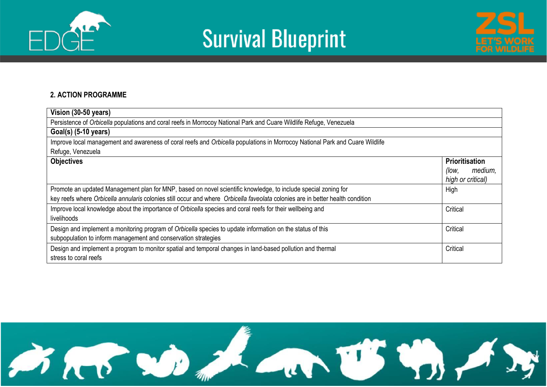





#### **2. ACTION PROGRAMME**

| Vision (30-50 years)                                                                                                           |                       |
|--------------------------------------------------------------------------------------------------------------------------------|-----------------------|
| Persistence of Orbicella populations and coral reefs in Morrocoy National Park and Cuare Wildlife Refuge, Venezuela            |                       |
| $Goal(s)$ (5-10 years)                                                                                                         |                       |
| Improve local management and awareness of coral reefs and Orbicella populations in Morrocoy National Park and Cuare Wildlife   |                       |
| Refuge, Venezuela                                                                                                              |                       |
| <b>Objectives</b>                                                                                                              | <b>Prioritisation</b> |
|                                                                                                                                | medium,<br>(low,      |
|                                                                                                                                | high or critical)     |
| Promote an updated Management plan for MNP, based on novel scientific knowledge, to include special zoning for                 | High                  |
| key reefs where Orbicella annularis colonies still occur and where Orbicella faveolata colonies are in better health condition |                       |
| Improve local knowledge about the importance of Orbicella species and coral reefs for their wellbeing and                      | Critical              |
| livelihoods                                                                                                                    |                       |
| Design and implement a monitoring program of Orbicella species to update information on the status of this                     | Critical              |
| subpopulation to inform management and conservation strategies                                                                 |                       |
| Design and implement a program to monitor spatial and temporal changes in land-based pollution and thermal                     | Critical              |
| stress to coral reefs                                                                                                          |                       |

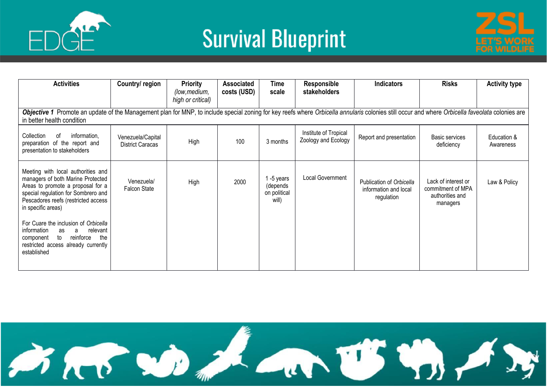



| <b>Activities</b>                                                                                                                                                                                                                                                                                                                                                                           | Country/ region                              | <b>Priority</b><br>(low, medium, | <b>Associated</b><br>costs (USD) | <b>Time</b><br>scale                          | Responsible<br>stakeholders                  | <b>Indicators</b>                                               | <b>Risks</b>                                                            | <b>Activity type</b>     |
|---------------------------------------------------------------------------------------------------------------------------------------------------------------------------------------------------------------------------------------------------------------------------------------------------------------------------------------------------------------------------------------------|----------------------------------------------|----------------------------------|----------------------------------|-----------------------------------------------|----------------------------------------------|-----------------------------------------------------------------|-------------------------------------------------------------------------|--------------------------|
|                                                                                                                                                                                                                                                                                                                                                                                             |                                              | high or critical)                |                                  |                                               |                                              |                                                                 |                                                                         |                          |
| Objective 1 Promote an update of the Management plan for MNP, to include special zoning for key reefs where Orbicella annularis colonies still occur and where Orbicella faveolata colonies are<br>in better health condition                                                                                                                                                               |                                              |                                  |                                  |                                               |                                              |                                                                 |                                                                         |                          |
| information,<br>Collection<br>of<br>preparation of the report and<br>presentation to stakeholders                                                                                                                                                                                                                                                                                           | Venezuela/Capital<br><b>District Caracas</b> | High                             | 100                              | 3 months                                      | Institute of Tropical<br>Zoology and Ecology | Report and presentation                                         | Basic services<br>deficiency                                            | Education &<br>Awareness |
| Meeting with local authorities and<br>managers of both Marine Protected<br>Areas to promote a proposal for a<br>special regulation for Sombrero and<br>Pescadores reefs (restricted access<br>in specific areas)<br>For Cuare the inclusion of Orbicella<br>information<br>relevant<br>as<br>a<br>reinforce<br>the<br>to<br>component<br>restricted access already currently<br>established | Venezuela/<br>Falcon State                   | High                             | 2000                             | -5 years<br>(depends<br>on political<br>will) | Local Government                             | Publication of Orbicella<br>information and local<br>regulation | Lack of interest or<br>commitment of MPA<br>authorities and<br>managers | Law & Policy             |

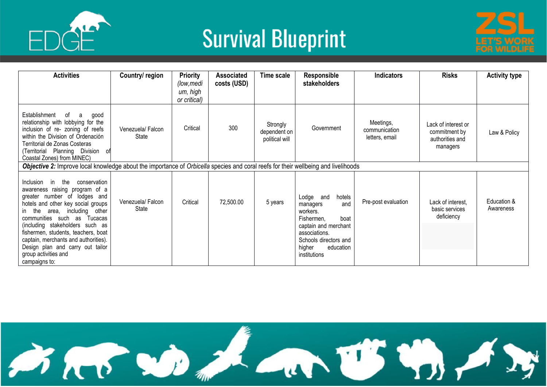



| <b>Activities</b>                                                                                                                                                                                                                                                                                                                                                                                      | Country/ region           | <b>Priority</b><br>(low,medi<br>um, high<br>or critical) | <b>Associated</b><br>costs (USD) | Time scale                                 | <b>Responsible</b><br>stakeholders                                                                                                                                                | <b>Indicators</b>                            | <b>Risks</b>                                                        | <b>Activity type</b>     |
|--------------------------------------------------------------------------------------------------------------------------------------------------------------------------------------------------------------------------------------------------------------------------------------------------------------------------------------------------------------------------------------------------------|---------------------------|----------------------------------------------------------|----------------------------------|--------------------------------------------|-----------------------------------------------------------------------------------------------------------------------------------------------------------------------------------|----------------------------------------------|---------------------------------------------------------------------|--------------------------|
| Establishment<br>of a<br>good<br>relationship with lobbying for the<br>inclusion of re- zoning of reefs<br>within the Division of Ordenación<br>Territorial de Zonas Costeras<br>(Territorial Planning Division of<br>Coastal Zones) from MINEC)                                                                                                                                                       | Venezuela/Falcon<br>State | Critical                                                 | 300                              | Strongly<br>dependent on<br>political will | Government                                                                                                                                                                        | Meetings,<br>communication<br>letters, email | Lack of interest or<br>commitment by<br>authorities and<br>managers | Law & Policy             |
| Objective 2: Improve local knowledge about the importance of Orbicella species and coral reefs for their wellbeing and livelihoods                                                                                                                                                                                                                                                                     |                           |                                                          |                                  |                                            |                                                                                                                                                                                   |                                              |                                                                     |                          |
| in the conservation<br>Inclusion<br>awareness raising program of a<br>greater number of lodges and<br>hotels and other key social groups<br>in the area, including other<br>communities such as Tucacas<br>(including stakeholders such as<br>fishermen, students, teachers, boat<br>captain, merchants and authorities).<br>Design plan and carry out tailor<br>group activities and<br>campaigns to: | Venezuela/Falcon<br>State | Critical                                                 | 72,500.00                        | 5 years                                    | Lodge and<br>hotels<br>and<br>managers<br>workers.<br>Fishermen,<br>boat<br>captain and merchant<br>associations.<br>Schools directors and<br>higher<br>education<br>institutions | Pre-post evaluation                          | Lack of interest,<br>basic services<br>deficiency                   | Education &<br>Awareness |

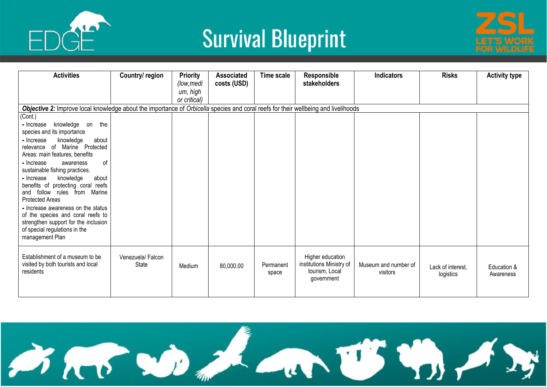



| <b>Activities</b>                                                                                                                                                   | Country/ region           | <b>Priority</b><br>(low, medi<br>um, high<br>or critical) | <b>Associated</b><br>costs (USD) | Time scale         | Responsible<br>stakeholders                                                  | <b>Indicators</b>                | <b>Risks</b>                   | <b>Activity type</b>     |
|---------------------------------------------------------------------------------------------------------------------------------------------------------------------|---------------------------|-----------------------------------------------------------|----------------------------------|--------------------|------------------------------------------------------------------------------|----------------------------------|--------------------------------|--------------------------|
| Objective 2: Improve local knowledge about the importance of Orbicella species and coral reefs for their wellbeing and livelihoods                                  |                           |                                                           |                                  |                    |                                                                              |                                  |                                |                          |
| (Cont.)                                                                                                                                                             |                           |                                                           |                                  |                    |                                                                              |                                  |                                |                          |
| knowledge on<br>the<br>- Increase<br>species and its importance                                                                                                     |                           |                                                           |                                  |                    |                                                                              |                                  |                                |                          |
| knowledge<br>- Increase<br>about<br>relevance of Marine Protected<br>Areas: main features, benefits                                                                 |                           |                                                           |                                  |                    |                                                                              |                                  |                                |                          |
| of<br>- Increase<br>awareness<br>sustainable fishing practices.                                                                                                     |                           |                                                           |                                  |                    |                                                                              |                                  |                                |                          |
| knowledge<br>- Increase<br>about<br>benefits of protecting coral reefs<br>and follow rules from Marine<br><b>Protected Areas</b>                                    |                           |                                                           |                                  |                    |                                                                              |                                  |                                |                          |
| - Increase awareness on the status<br>of the species and coral reefs to<br>strengthen support for the inclusion<br>of special regulations in the<br>management Plan |                           |                                                           |                                  |                    |                                                                              |                                  |                                |                          |
| Establishment of a museum to be<br>visited by both tourists and local<br>residents                                                                                  | Venezuela/Falcon<br>State | Medium                                                    | 80,000.00                        | Permanent<br>space | Higher education<br>institutions Ministry of<br>tourism, Local<br>government | Museum and number of<br>visitors | Lack of interest.<br>logistics | Education &<br>Awareness |

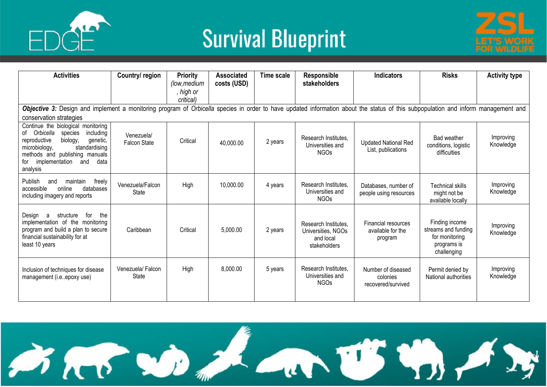

![](_page_25_Picture_2.jpeg)

| <b>Activities</b>                                                                                                                                                                                                                             | Country/region                    | <b>Priority</b><br>(low, medium<br>, high or | <b>Associated</b><br>costs (USD) | <b>Time scale</b> | Responsible<br>stakeholders                                             | <b>Indicators</b>                                    | <b>Risks</b>                                                                          | <b>Activity type</b>   |  |  |  |
|-----------------------------------------------------------------------------------------------------------------------------------------------------------------------------------------------------------------------------------------------|-----------------------------------|----------------------------------------------|----------------------------------|-------------------|-------------------------------------------------------------------------|------------------------------------------------------|---------------------------------------------------------------------------------------|------------------------|--|--|--|
| critical)<br>Objective 3: Design and implement a monitoring program of Orbicella species in order to have updated information about the status of this subpopulation and inform management and<br>conservation strategies                     |                                   |                                              |                                  |                   |                                                                         |                                                      |                                                                                       |                        |  |  |  |
| Continue the biological monitoring<br>Orbicella<br>including<br>species<br>of<br>biology,<br>reproductive<br>genetic,<br>standardising<br>microbiology,<br>methods and publishing manuals<br>data<br>for<br>implementation<br>and<br>analysis | Venezuela/<br><b>Falcon State</b> | Critical                                     | 40,000.00                        | 2 years           | Research Institutes.<br>Universities and<br>NGOs                        | <b>Updated National Red</b><br>List, publications    | Bad weather<br>conditions, logistic<br>difficulties                                   | Improving<br>Knowledge |  |  |  |
| Publish<br>freely<br>and<br>maintain<br>accessible<br>online<br>databases<br>including imagery and reports                                                                                                                                    | Venezuela/Falcon<br><b>State</b>  | High                                         | 10,000.00                        | 4 years           | Research Institutes.<br>Universities and<br><b>NGOs</b>                 | Databases, number of<br>people using resources       | Technical skills<br>might not be<br>available locally                                 | Improving<br>Knowledge |  |  |  |
| the<br>Design<br>structure<br>for<br>a<br>implementation of the monitoring<br>program and build a plan to secure<br>financial sustainability for at<br>least 10 years                                                                         | Caribbean                         | Critical                                     | 5,000.00                         | 2 years           | Research Institutes.<br>Universities, NGOs<br>and local<br>stakeholders | Financial resources<br>available for the<br>program  | Finding income<br>streams and funding<br>for monitoring<br>programs is<br>challenging | Improving<br>Knowledge |  |  |  |
| Inclusion of techniques for disease<br>management (i.eepoxy use)                                                                                                                                                                              | Venezuela/Falcon<br>State         | High                                         | 8,000.00                         | 5 years           | Research Institutes.<br>Universities and<br><b>NGOs</b>                 | Number of diseased<br>colonies<br>recovered/survived | Permit denied by<br>National authorities                                              | Improving<br>Knowledge |  |  |  |

![](_page_25_Picture_4.jpeg)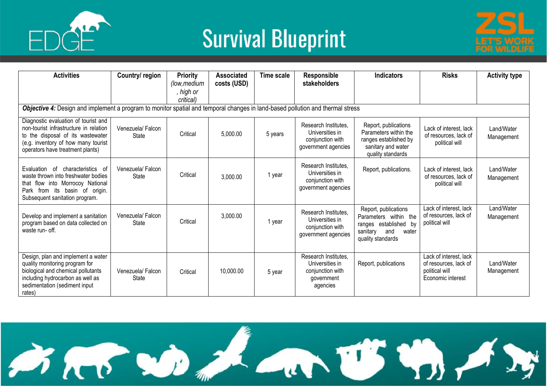![](_page_26_Picture_0.jpeg)

![](_page_26_Picture_2.jpeg)

| <b>Activities</b>                                                                                                                                                                              | Country/ region                  | <b>Priority</b><br>(low, medium<br>, high or<br>critical) | <b>Associated</b><br>costs (USD) | Time scale | <b>Responsible</b><br>stakeholders                                                    | <b>Indicators</b>                                                                                                       | <b>Risks</b>                                                                           | <b>Activity type</b>     |
|------------------------------------------------------------------------------------------------------------------------------------------------------------------------------------------------|----------------------------------|-----------------------------------------------------------|----------------------------------|------------|---------------------------------------------------------------------------------------|-------------------------------------------------------------------------------------------------------------------------|----------------------------------------------------------------------------------------|--------------------------|
| Objective 4: Design and implement a program to monitor spatial and temporal changes in land-based pollution and thermal stress                                                                 |                                  |                                                           |                                  |            |                                                                                       |                                                                                                                         |                                                                                        |                          |
| Diagnostic evaluation of tourist and<br>non-tourist infrastructure in relation<br>to the disposal of its wastewater<br>(e.g. inventory of how many tourist<br>operators have treatment plants) | Venezuela/Falcon<br><b>State</b> | Critical                                                  | 5,000.00                         | 5 years    | Research Institutes.<br>Universities in<br>conjunction with<br>government agencies    | Report, publications<br>Parameters within the<br>ranges established by<br>sanitary and water<br>quality standards       | Lack of interest, lack<br>of resources, lack of<br>political will                      | Land/Water<br>Management |
| characteristics of<br>Evaluation<br>of<br>waste thrown into freshwater bodies<br>that flow into Morrocoy National<br>Park from its basin of origin.<br>Subsequent sanitation program.          | Venezuela/Falcon<br><b>State</b> | Critical                                                  | 3,000.00                         | 1 year     | Research Institutes,<br>Universities in<br>conjunction with<br>government agencies    | Report, publications.                                                                                                   | Lack of interest, lack<br>of resources, lack of<br>political will                      | Land/Water<br>Management |
| Develop and implement a sanitation<br>program based on data collected on<br>waste run- off.                                                                                                    | Venezuela/Falcon<br><b>State</b> | Critical                                                  | 3,000.00                         | 1 year     | Research Institutes,<br>Universities in<br>conjunction with<br>government agencies    | Report, publications<br>Parameters within the<br>ranges established by<br>sanitary<br>and<br>water<br>quality standards | Lack of interest, lack<br>of resources, lack of<br>political will                      | Land/Water<br>Management |
| Design, plan and implement a water<br>quality monitoring program for<br>biological and chemical pollutants<br>including hydrocarbon as well as<br>sedimentation (sediment input<br>rates)      | Venezuela/Falcon<br><b>State</b> | Critical                                                  | 10,000.00                        | 5 year     | Research Institutes,<br>Universities in<br>conjunction with<br>government<br>agencies | Report, publications                                                                                                    | Lack of interest, lack<br>of resources, lack of<br>political will<br>Economic interest | Land/Water<br>Management |

![](_page_26_Picture_4.jpeg)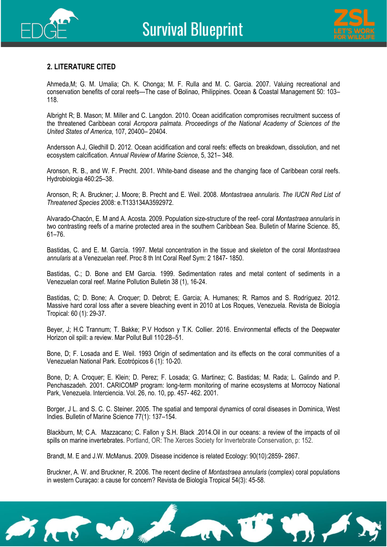![](_page_27_Picture_1.jpeg)

![](_page_27_Picture_2.jpeg)

#### **2. LITERATURE CITED**

Ahmeda,M; G. M. Umalia; Ch. K. Chonga; M. F. Rulla and M. C. Garcia. 2007. Valuing recreational and conservation benefits of coral reefs—The case of Bolinao, Philippines. Ocean & Coastal Management 50: 103– 118.

Albright R; B. Mason; M. Miller and C. Langdon. 2010. Ocean acidification compromises recruitment success of the threatened Caribbean coral *Acropora palmata*. *Proceedings of the National Academy of Sciences of the United States of America*, 107, 20400– 20404.

Andersson A.J, Gledhill D. 2012. Ocean acidification and coral reefs: effects on breakdown, dissolution, and net ecosystem calcification. *Annual Review of Marine Science*, 5, 321– 348.

Aronson, R. B., and W. F. Precht. 2001. White-band disease and the changing face of Caribbean coral reefs. Hydrobiologia 460:25–38.

Aronson, R; A. Bruckner; J. Moore; B. Precht and E. Weil. 2008. *Montastraea annularis*. *The IUCN Red List of Threatened Species* 2008: e.T133134A3592972.

Alvarado-Chacón, E. M and A. Acosta. 2009. Population size-structure of the reef- coral *Montastraea annularis* in two contrasting reefs of a marine protected area in the southern Caribbean Sea. Bulletin of Marine Science. 85, 61–76.

Bastidas, C. and E. M. García. 1997. Metal concentration in the tissue and skeleton of the coral *Montastraea annularis* at a Venezuelan reef. Proc 8 th Int Coral Reef Sym: 2 1847- 1850.

Bastidas, C.; D. Bone and EM Garcia. 1999. Sedimentation rates and metal content of sediments in a Venezuelan coral reef. Marine Pollution Bulletin 38 (1), 16-24.

Bastidas, C; D. Bone; A. Croquer; D. Debrot; E. Garcia; A. Humanes; R. Ramos and S. Rodríguez. 2012. Massive hard coral loss after a severe bleaching event in 2010 at Los Roques, Venezuela. Revista de Biología Tropical: 60 (1): 29-37.

Beyer, J; H.C Trannum; T. Bakke; P.V Hodson y T.K. Collier. 2016. Environmental effects of the Deepwater Horizon oil spill: a review. Mar Pollut Bull 110:28–51.

Bone, D; F. Losada and E. Weil. 1993 Origin of sedimentation and its effects on the coral communities of a Venezuelan National Park. Ecotrópicos 6 (1): 10-20.

Bone, D; A. Croquer; E. Klein; D. Perez; F. Losada; G. Martinez; C. Bastidas; M. Rada; L. Galindo and P. Penchaszadeh. 2001. CARICOMP program: long-term monitoring of marine ecosystems at Morrocoy National Park, Venezuela. Interciencia. Vol. 26, no. 10, pp. 457- 462. 2001.

Borger, J L. and S. C. C. Steiner. 2005. The spatial and temporal dynamics of coral diseases in Dominica, West Indies. Bulletin of Marine Science 77(1): 137–154.

Blackburn, M; C.A. Mazzacano; C. Fallon y S.H. Black .2014.Oil in our oceans: a review of the impacts of oil spills on marine invertebrates. Portland, OR: The Xerces Society for Invertebrate Conservation, p: 152.

Brandt, M. E and J.W. McManus. 2009. Disease incidence is related Ecology: 90(10):2859- 2867.

Bruckner, A. W. and Bruckner, R. 2006. The recent decline of *Montastraea annularis* (complex) coral populations in western Curaçao: a cause for concern? Revista de Biología Tropical 54(3): 45-58.

![](_page_27_Picture_20.jpeg)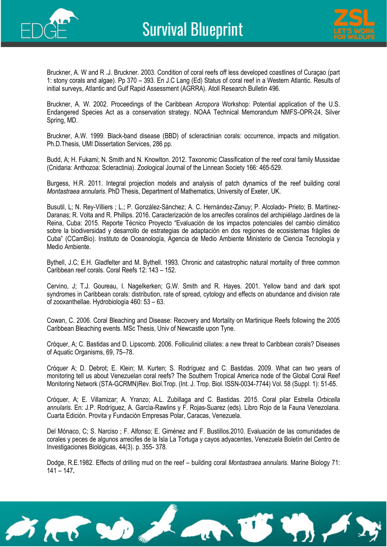![](_page_28_Picture_0.jpeg)

![](_page_28_Picture_2.jpeg)

Bruckner, A. W and R .J. Bruckner. 2003. Condition of coral reefs off less developed coastlines of Curaçao (part 1: stony corals and algae). Pp 370 – 393. En J.C Lang (Ed) Status of coral reef in a Western Atlantic. Results of initial surveys, Atlantic and Gulf Rapid Assessment (AGRRA). Atoll Research Bulletin 496.

Bruckner, A. W. 2002. Proceedings of the Caribbean *Acropora* Workshop: Potential application of the U.S. Endangered Species Act as a conservation strategy. NOAA Technical Memorandum NMFS-OPR-24, Silver Spring, MD.

Bruckner, A.W. 1999. Black-band disease (BBD) of scleractinian corals: occurrence, impacts and mitigation. Ph.D.Thesis, UMI Dissertation Services, 286 pp.

Budd, A; H. Fukami; N. Smith and N. Knowlton. 2012. Taxonomic Classification of the reef coral family Mussidae (Cnidaria: Anthozoa: Scleractinia). Zoological Journal of the Linnean Society 166: 465-529.

Burgess, H.R. 2011. Integral projection models and analysis of patch dynamics of the reef building coral *Montastraea annularis*. PhD Thesis, Department of Mathematics, University of Exeter, UK.

Busutil, L; N. Rey-Villiers ; L.; P. González-Sánchez; A. C. Hernández-Zanuy; P. Alcolado- Prieto; B. Martínez-Daranas; R. Volta and R. Phillips. 2016. Caracterización de los arrecifes coralinos del archipiélago Jardines de la Reina, Cuba: 2015. Reporte Técnico Proyecto "Evaluación de los impactos potenciales del cambio climático sobre la biodiversidad y desarrollo de estrategias de adaptación en dos regiones de ecosistemas frágiles de Cuba" (CCamBio). Instituto de Oceanología, Agencia de Medio Ambiente Ministerio de Ciencia Tecnología y Medio Ambiente.

Bythell, J.C; E.H. Gladfelter and M. Bythell. 1993. Chronic and catastrophic natural mortality of three common Caribbean reef corals. Coral Reefs 12: 143 – 152.

Cervino, J; T.J. Goureau, I. Nagelkerken; G.W. Smith and R. Hayes. 2001. Yellow band and dark spot syndromes in Caribbean corals: distribution, rate of spread, cytology and effects on abundance and division rate of zooxanthellae. Hydrobiología 460: 53 – 63.

Cowan, C. 2006. Coral Bleaching and Disease: Recovery and Mortality on Martinique Reefs following the 2005 Caribbean Bleaching events. MSc Thesis, Univ of Newcastle upon Tyne.

Cróquer, A; C. Bastidas and D. Lipscomb. 2006. Folliculinid ciliates: a new threat to Caribbean corals? Diseases of Aquatic Organisms, 69, 75–78.

Cróquer A; D. Debrot; E. Klein; M. Kurten; S. Rodríguez and C. Bastidas. 2009. What can two years of monitoring tell us about Venezuelan coral reefs? The Southern Tropical America node of the Global Coral Reef Monitoring Network (STA-GCRMN)Rev. Biol.Trop. (Int. J. Trop. Biol. ISSN-0034-7744) Vol. 58 (Suppl. 1): 51-65.

Cróquer, A; E. Villamizar; A. Yranzo; A.L. Zubillaga and C. Bastidas. 2015. Coral pilar Estrella *Orbicella annularis*. En: J.P. Rodríguez, A. Garcìa-Rawlins y F. Rojas-Suarez (eds). Libro Rojo de la Fauna Venezolana. Cuarta Edición. Provita y Fundación Empresas Polar, Caracas, Venezuela.

Del Mónaco, C; S. Narciso ; F. Alfonso; E. Giménez and F. Bustillos.2010. Evaluación de las comunidades de corales y peces de algunos arrecifes de la Isla La Tortuga y cayos adyacentes, Venezuela Boletín del Centro de Investigaciones Biológicas, 44(3). p. 355- 378.

Dodge, R.E.1982. Effects of drilling mud on the reef – building coral *Montastraea annularis*. Marine Biology 71: 141 – 147**.**

![](_page_28_Picture_17.jpeg)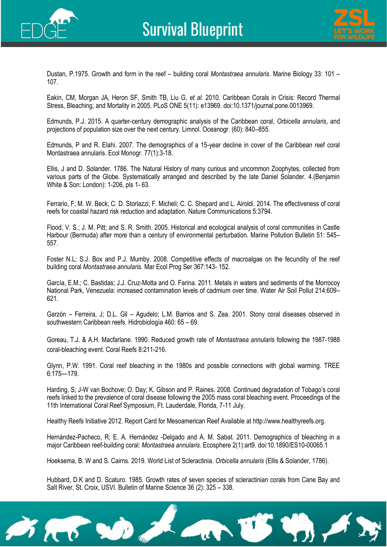![](_page_29_Picture_0.jpeg)

![](_page_29_Picture_2.jpeg)

Dustan, P.1975. Growth and form in the reef – building coral *Montastraea annularis*. Marine Biology 33: 101 – 107.

Eakin, CM, Morgan JA, Heron SF, Smith TB, Liu G, *et al.* 2010. Caribbean Corals in Crisis: Record Thermal Stress, Bleaching, and Mortality in 2005. PLoS ONE 5(11): e13969. doi:10.1371/journal.pone.0013969.

Edmunds, P.J. 2015. A quarter-century demographic analysis of the Caribbean coral, *Orbicella annularis*, and projections of population size over the next century. Limnol. Oceanogr. (60): 840–855.

Edmunds, P and R. Elahi. 2007. The demographics of a 15-year decline in cover of the Caribbean reef coral Montastraea annularis. Ecol Monogr. 77(1):3-18.

Ellis, J and D. Solander. 1786. The Natural History of many curious and uncommon Zoophytes, collected from various parts of the Globe. Systematically arranged and described by the late Daniel Solander. 4.(Benjamin White & Son: London): 1-206, pls 1- 63.

Ferrario, F; M. W. Beck; C. D. Storlazzi; F. Micheli; C. C. Shepard and L. Airoldi. 2014. The effectiveness of coral reefs for coastal hazard risk reduction and adaptation. Nature Communications 5:3794.

Flood, V. S.; J. M. Pitt; and S. R. Smith. 2005. Historical and ecological analysis of coral communities in Castle Harbour (Bermuda) after more than a century of environmental perturbation. Marine Pollution Bulletin 51: 545– 557.

Foster N.L; S.J. Box and P.J. Mumby. 2008. Competitive effects of macroalgae on the fecundity of the reef building coral *Montastraea annularis.* Mar Ecol Prog Ser 367:143- 152.

García, E.M.; C. Bastidas; J.J. Cruz-Motta and O. Farina. 2011. Metals in waters and sediments of the Morrocoy National Park, Venezuela: increased contamination levels of cadmium over time. Water Air Soil Pollut 214:609– 621.

Garzón – Ferreira, J; D.L. Gil – Agudelo; L.M. Barrios and S. Zea. 2001. Stony coral diseases observed in southwestern Caribbean reefs. Hidrobiología 460: 65 – 69.

Goreau, T.J. & A.H. Macfarlane. 1990. Reduced growth rate of *Montastraea annularis* following the 1987-1988 coral-bleaching event. Coral Reefs 8:211-216.

Glynn, P.W. 1991. Coral reef bleaching in the 1980s and possible connections with global warming. TREE 6:175—179.

Harding, S; J-W van Bochove; O. Day; K. Gibson and P. Raines. 2008. Continued degradation of Tobago's coral reefs linked to the prevalence of coral disease following the 2005 mass coral bleaching event. Proceedings of the 11th International Coral Reef Symposium, Ft. Lauderdale, Florida, 7-11 July.

Healthy Reefs Initiative 2012. Report Card for Mesoamerican Reef Available at [http://www.healthyreefs.org.](http://www.healthyreefs.org/)

Hernández-Pacheco, R; E. A. Hernández -Delgado and A. M. Sabat. 2011. Demographics of bleaching in a major Caribbean reef-building coral: *Montastraea annularis*. Ecosphere 2(1):art9. doi:10.1890/ES10-00065.1

Hoeksema, B. W and S. Cairns. 2019. World List of Scleractinia. *Orbicella annularis* (Ellis & Solander, 1786).

Hubbard, D.K and D. Scaturo. 1985. Growth rates of seven species of scleractinian corals from Cane Bay and Salt River, St. Croix, USVI. Bulletin of Marine Science 36 (2): 325 – 338.

![](_page_29_Picture_20.jpeg)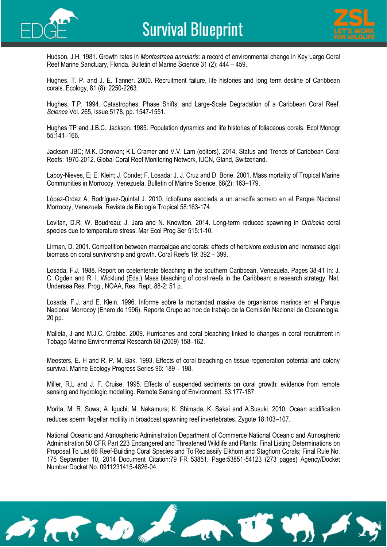![](_page_30_Picture_0.jpeg)

![](_page_30_Picture_2.jpeg)

Hudson, J.H. 1981. Growth rates in *Montastraea annularis:* a record of environmental change in Key Largo Coral Reef Marine Sanctuary, Florida. Bulletin of Marine Science 31 (2): 444 – 459.

Hughes, T. P. and J. E. Tanner. 2000. Recruitment failure, life histories and long term decline of Caribbean corals. Ecology, 81 (8): 2250-2263.

Hughes, T.P. 1994. Catastrophes, Phase Shifts, and Large-Scale Degradation of a Caribbean Coral Reef. *Science* Vol. 265, Issue 5178, pp. 1547-1551.

Hughes TP and J.B.C. Jackson. 1985. Population dynamics and life histories of foliaceous corals. Ecol Monogr 55:141–166.

Jackson JBC; M.K. Donovan; K.L Cramer and V.V. Lam (editors). 2014. Status and Trends of Caribbean Coral Reefs: 1970-2012. Global Coral Reef Monitoring Network, IUCN, Gland, Switzerland.

Laboy-Nieves, E; E. Klein; J. Conde; F. Losada; J. J. Cruz and D. Bone. 2001. Mass mortality of Tropical Marine Communities in Morrocoy, Venezuela. Bulletin of Marine Science, 68(2): 163–179.

López-Ordaz A, Rodríguez-Quintal J. 2010*.* Ictiofauna asociada a un arrecife somero en el Parque Nacional Morrocoy, Venezuela. Revista de Biología Tropical 58:163-174.

Levitan, D.R; W. Boudreau; J. Jara and N. Knowlton. 2014. Long-term reduced spawning in *Orbicella* coral species due to temperature stress. Mar Ecol Prog Ser 515:1-10.

Lirman, D. 2001. Competition between macroalgae and corals: effects of herbivore exclusion and increased algal biomass on coral survivorship and growth. Coral Reefs 19: 392 – 399.

Losada, F.J. 1988. Report on coelenterate bleaching in the southern Caribbean, Venezuela. Pages 38-41 In: J. C. Ogden and R. I. Wicklund (Eds.) Mass bleaching of coral reefs in the Caribbean: a research strategy. Nat. Undersea Res. Prog., NOAA, Res. Rept. 88-2: 51 p.

Losada, F.J. and E. Klein. 1996. Informe sobre la mortandad masiva de organismos marinos en el Parque Nacional Morrocoy (Enero de 1996). Reporte Grupo ad hoc de trabajo de la Comisión Nacional de Oceanología, 20 pp.

Mallela, J and M.J.C. Crabbe. 2009. Hurricanes and coral bleaching linked to changes in coral recruitment in Tobago Marine Environmental Research 68 (2009) 158–162.

Meesters, E. H and R. P. M. Bak. 1993. Effects of coral bleaching on tissue regeneration potential and colony survival. Marine Ecology Progress Series 96: 189 – 198.

Miller, R.L and J. F. Cruise. 1995. Effects of suspended sediments on coral growth: evidence from remote sensing and hydrologic modelling. Remote Sensing of Environment. 53:177-187.

Morita, M; R. Suwa; A. Iguchi; M. Nakamura; K. Shimada; K. Sakai and A.Susuki. 2010. Ocean acidification reduces sperm flagellar motility in broadcast spawning reef invertebrates. Zygote 18:103–107.

National Oceanic and Atmospheric Administration Department of Commerce National Oceanic and Atmospheric Administration 50 CFR Part 223 Endangered and Threatened Wildlife and Plants: Final Listing Determinations on Proposal To List 66 Reef-Building Coral Species and To Reclassify Elkhorn and Staghorn Corals; Final Rule No. 175 September 10, 2014 Document Citation:79 FR 53851. Page:53851-54123 (273 pages) Agency/Docket Number:Docket No. 0911231415-4826-04.

![](_page_30_Picture_19.jpeg)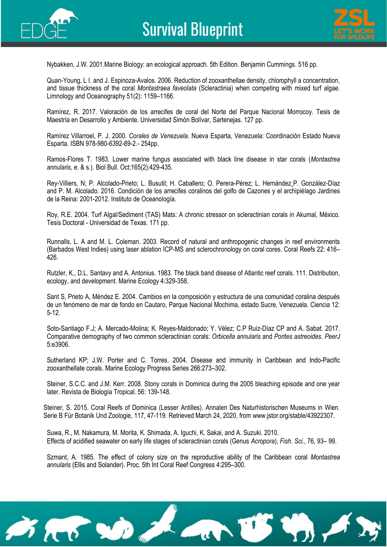![](_page_31_Picture_0.jpeg)

![](_page_31_Picture_2.jpeg)

Nybakken, J.W. 2001.Marine Biology: an ecological approach. 5th Edition. Benjamin Cummings. 516 pp.

Quan-Young, L I. and J. Espinoza-Avalos. 2006. Reduction of zooxanthellae density, chlorophyll a concentration, and tissue thickness of the coral *Montastraea faveolata* (Scleractinia) when competing with mixed turf algae. Limnology and Oceanography 51(2): 1159–1166.

Ramírez, R. 2017. Valoración de los arrecifes de coral del Norte del Parque Nacional Morrocoy. Tesis de Maestría en Desarrollo y Ambiente. Universidad Simón Bolívar, Sartenejas. 127 pp.

Ramírez Villarroel, P. J. 2000. *Corales de Venezuela*. Nueva Esparta, Venezuela: Coordinación Estado Nueva Esparta. ISBN 978-980-6392-89-2.- 254pp.

Ramos-Flores T. 1983. Lower marine fungus associated with black line disease in star corals (*Montastrea annularis*, e. & s.). Biol Bull. Oct;165(2):429-435.

Rey-Villiers, N; P. Alcolado-Prieto; L. Busutil; H. Caballero; O. Perera-Pérez; L. Hernández¸P. González-Díaz and P. M. Alcolado. 2016. Condición de los arrecifes coralinos del golfo de Cazones y el archipiélago Jardines de la Reina: 2001-2012. Instituto de Oceanología.

Roy, R.E. 2004. Turf Algal/Sediment (TAS) Mats: A chronic stressor on scleractinian corals in Akumal, México. Tesis Doctoral - Universidad de Texas. 171 pp.

Runnalls, L. A and M. L. Coleman. 2003. Record of natural and anthropogenic changes in reef environments (Barbados West Indies) using laser ablation ICP-MS and sclerochronology on coral cores. Coral Reefs 22: 416– 426.

Rutzler, K., D.L. Santavy and A. Antonius. 1983. The black band disease of Atlantic reef corals. 111. Distribution, ecology, and development. Marine Ecology 4:329-358.

Sant S, Prieto A, Méndez E. 2004. Cambios en la composición y estructura de una comunidad coralina después de un fenómeno de mar de fondo en Cautaro, Parque Nacional Mochima, estado Sucre, Venezuela. Ciencia 12: 5-12.

Soto-Santiago F.J; A. Mercado-Molina; K. Reyes-Maldonado; Y. Vélez; C.P Ruiz-Díaz CP and A. Sabat. 2017. Comparative demography of two common scleractinian corals: *Orbicella annularis* and *Porites astreoides*. *PeerJ*  5:e3906.

Sutherland KP; J.W. Porter and C. Torres. 2004. Disease and immunity in Caribbean and Indo-Pacific zooxanthellate corals. Marine Ecology Progress Series 266:273–302.

Steiner, S.C.C. and J.M. Kerr. 2008. Stony corals in Dominica during the 2005 bleaching episode and one year later. Revista de Biología Tropical. 56: 139-148.

Steiner, S. 2015. Coral Reefs of Dominica (Lesser Antilles). Annalen Des Naturhistorischen Museums in Wien. Serie B Für Botanik Und Zoologie, 117, 47-119. Retrieved March 24, 2020, from [www.jstor.org/stable/43922307.](http://www.jstor.org/stable/43922307)

Suwa, R., M. Nakamura, M. Morita, K. Shimada, A. Iguchi, K. Sakai, and A. Suzuki. 2010. Effects of acidified seawater on early life stages of scleractinian corals (Genus *Acropora*), *Fish. Sci.*, 76, 93– 99.

Szmant, A. 1985. The effect of colony size on the reproductive ability of the Caribbean coral *Montastrea annularis* (Ellis and Solander). Proc. 5th Int Coral Reef Congress 4:295–300.

![](_page_31_Picture_19.jpeg)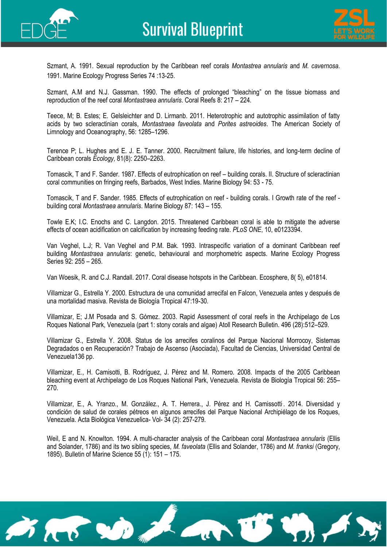![](_page_32_Picture_0.jpeg)

![](_page_32_Picture_2.jpeg)

Szmant, A. 1991. Sexual reproduction by the Caribbean reef corals *Montastrea annularis* and *M. cavernosa*. 1991. Marine Ecology Progress Series 74 :13-25.

Szmant, A.M and N.J. Gassman. 1990. The effects of prolonged "bleaching" on the tissue biomass and reproduction of the reef coral *Montastraea annularis*. Coral Reefs 8: 217 – 224.

Teece, M; B. Estes; E. Gelsleichter and D. Lirmanb. 2011. Heterotrophic and autotrophic assimilation of fatty acids by two scleractinian corals, *Montastraea faveolata* and *Porites astreoides*. The American Society of Limnology and Oceanography, 56: 1285–1296.

Terence P; L. Hughes and E. J. E. Tanner. 2000. Recruitment failure, life histories, and long-term decline of Caribbean corals *Ecology,* 81(8): 2250–2263.

Tomascik, T and F. Sander. 1987. Effects of eutrophication on reef – building corals. II. Structure of scleractinian coral communities on fringing reefs, Barbados, West Indies. Marine Biology 94: 53 - 75.

Tomascik, T and F. Sander. 1985. Effects of eutrophication on reef - building corals. I Growth rate of the reef building coral *Montastraea annularis*. Marine Biology 87: 143 – 155.

Towle E.K; I.C. Enochs and C. Langdon. 2015. Threatened Caribbean coral is able to mitigate the adverse effects of ocean acidification on calcification by increasing feeding rate. *PLoS ONE*, 10, e0123394.

Van Veghel, L.J; R. Van Veghel and P.M. Bak. 1993. Intraspecific variation of a dominant Caribbean reef building *Montastraea annularis*: genetic, behavioural and morphometric aspects. Marine Ecology Progress Series 92: 255 – 265.

Van Woesik, R. and C.J. Randall. 2017. Coral disease hotspots in the Caribbean. Ecosphere, 8( 5), e01814.

Villamizar G., Estrella Y. 2000. Estructura de una comunidad arrecifal en Falcon, Venezuela antes y después de una mortalidad masiva. Revista de Biología Tropical 47:19-30.

Villamizar, E; J.M Posada and S. Gómez. 2003. Rapid Assessment of coral reefs in the Archipelago de Los Roques National Park, Venezuela (part 1: stony corals and algae) Atoll Research Bulletin. 496 (28):512–529.

Villamizar G., Estrella Y. 2008. Status de los arrecifes coralinos del Parque Nacional Morrocoy, Sistemas Degradados o en Recuperación? Trabajo de Ascenso (Asociada), Facultad de Ciencias, Universidad Central de Venezuela136 pp.

Villamizar, E., H. Camisotti, B. Rodríguez, J. Pérez and M. Romero. 2008. Impacts of the 2005 Caribbean bleaching event at Archipelago de Los Roques National Park, Venezuela. Revista de Biología Tropical 56: 255– 270.

Villamizar, E., A. Yranzo., M. González., A. T. Herrera., J. Pérez and H. Camissotti. . 2014. Diversidad y condición de salud de corales pétreos en algunos arrecifes del Parque Nacional Archipiélago de los Roques, Venezuela. Acta Biológica Venezuelica- Vol- 34 (2): 257-279.

Weil, E and N. Knowlton. 1994. A multi-character analysis of the Caribbean coral *Montastraea annularis* (Ellis and Solander, 1786) and its two sibling species, *M. faveolata* (Ellis and Solander, 1786) and *M. franksi* (Gregory, 1895). Bulletin of Marine Science 55 (1): 151 – 175.

![](_page_32_Picture_18.jpeg)